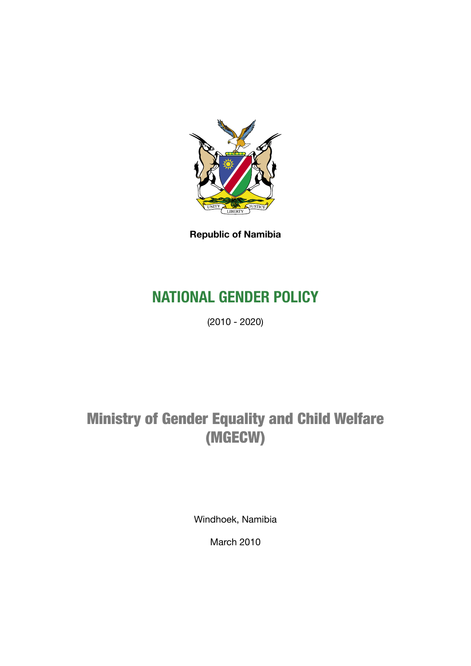

**Republic of Namibia**

# **NATIONAL GENDER POLICY**

(2010 - 2020)

# Ministry of Gender Equality and Child Welfare (MGECW)

Windhoek, Namibia

March 2010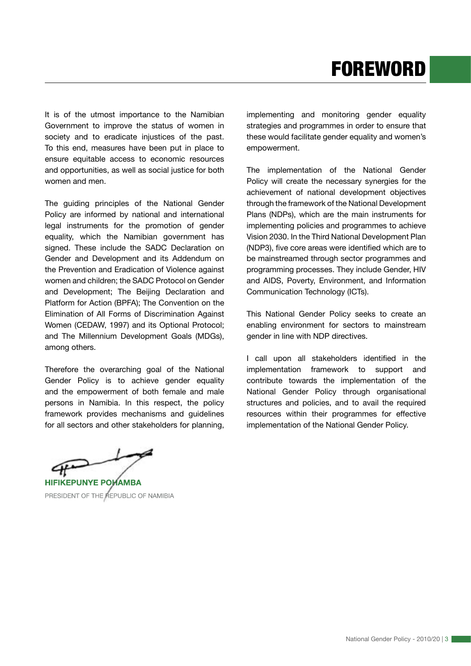It is of the utmost importance to the Namibian Government to improve the status of women in society and to eradicate injustices of the past. To this end, measures have been put in place to ensure equitable access to economic resources and opportunities, as well as social justice for both women and men.

The guiding principles of the National Gender Policy are informed by national and international legal instruments for the promotion of gender equality, which the Namibian government has signed. These include the SADC Declaration on Gender and Development and its Addendum on the Prevention and Eradication of Violence against women and children; the SADC Protocol on Gender and Development; The Beijing Declaration and Platform for Action (BPFA); The Convention on the Elimination of All Forms of Discrimination Against Women (CEDAW, 1997) and its Optional Protocol; and The Millennium Development Goals (MDGs), among others.

Therefore the overarching goal of the National Gender Policy is to achieve gender equality and the empowerment of both female and male persons in Namibia. In this respect, the policy framework provides mechanisms and guidelines for all sectors and other stakeholders for planning, implementing and monitoring gender equality strategies and programmes in order to ensure that these would facilitate gender equality and women's empowerment.

The implementation of the National Gender Policy will create the necessary synergies for the achievement of national development objectives through the framework of the National Development Plans (NDPs), which are the main instruments for implementing policies and programmes to achieve Vision 2030. In the Third National Development Plan (NDP3), five core areas were identified which are to be mainstreamed through sector programmes and programming processes. They include Gender, HIV and AIDS, Poverty, Environment, and Information Communication Technology (ICTs).

This National Gender Policy seeks to create an enabling environment for sectors to mainstream gender in line with NDP directives.

I call upon all stakeholders identified in the implementation framework to support and contribute towards the implementation of the National Gender Policy through organisational structures and policies, and to avail the required resources within their programmes for effective implementation of the National Gender Policy.

PRESIDENT OF THE REPUBLIC OF NAMIBIA **HIFIKEPUNYE POHAMBA**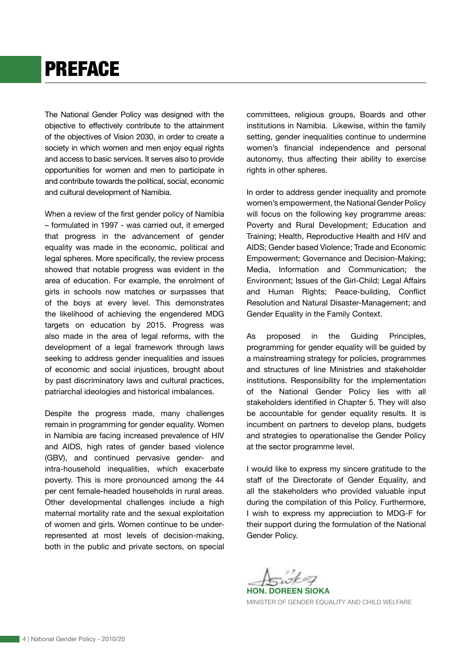# PREFACE

The National Gender Policy was designed with the objective to effectively contribute to the attainment of the objectives of Vision 2030, in order to create a society in which women and men enjoy equal rights and access to basic services. It serves also to provide opportunities for women and men to participate in and contribute towards the political, social, economic and cultural development of Namibia.

When a review of the first gender policy of Namibia – formulated in 1997 - was carried out, it emerged that progress in the advancement of gender equality was made in the economic, political and legal spheres. More specifically, the review process showed that notable progress was evident in the area of education. For example, the enrolment of girls in schools now matches or surpasses that of the boys at every level. This demonstrates the likelihood of achieving the engendered MDG targets on education by 2015. Progress was also made in the area of legal reforms, with the development of a legal framework through laws seeking to address gender inequalities and issues of economic and social injustices, brought about by past discriminatory laws and cultural practices, patriarchal ideologies and historical imbalances.

Despite the progress made, many challenges remain in programming for gender equality. Women in Namibia are facing increased prevalence of HIV and AIDS, high rates of gender based violence (GBV), and continued pervasive gender- and intra-household inequalities, which exacerbate poverty. This is more pronounced among the 44 per cent female-headed households in rural areas. Other developmental challenges include a high maternal mortality rate and the sexual exploitation of women and girls. Women continue to be underrepresented at most levels of decision-making, both in the public and private sectors, on special committees, religious groups, Boards and other institutions in Namibia. Likewise, within the family setting, gender inequalities continue to undermine women's financial independence and personal autonomy, thus affecting their ability to exercise rights in other spheres.

In order to address gender inequality and promote women's empowerment, the National Gender Policy will focus on the following key programme areas: Poverty and Rural Development; Education and Training; Health, Reproductive Health and HIV and AIDS; Gender based Violence; Trade and Economic Empowerment; Governance and Decision-Making; Media, Information and Communication; the Environment; Issues of the Girl-Child; Legal Affairs and Human Rights; Peace-building, Conflict Resolution and Natural Disaster-Management; and Gender Equality in the Family Context.

As proposed in the Guiding Principles, programming for gender equality will be guided by a mainstreaming strategy for policies, programmes and structures of line Ministries and stakeholder institutions. Responsibility for the implementation of the National Gender Policy lies with all stakeholders identified in Chapter 5. They will also be accountable for gender equality results. It is incumbent on partners to develop plans, budgets and strategies to operationalise the Gender Policy at the sector programme level.

I would like to express my sincere gratitude to the staff of the Directorate of Gender Equality, and all the stakeholders who provided valuable input during the compilation of this Policy. Furthermore, I wish to express my appreciation to MDG-F for their support during the formulation of the National Gender Policy.

Asiotez

**HON. DOREEN SIOKA** MINISTER OF GENDER EQUALITY AND CHILD WELFARE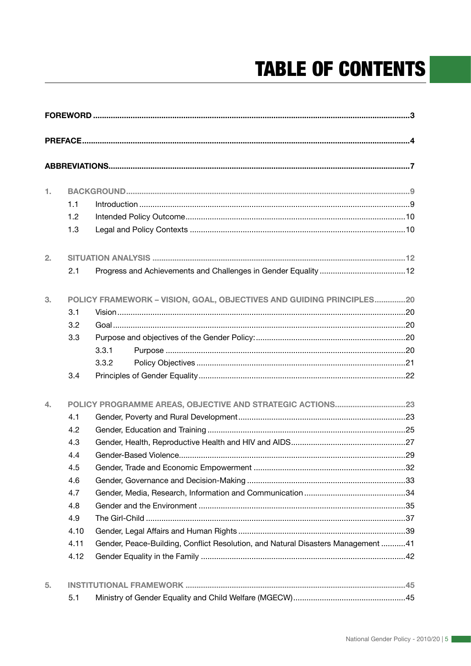# **TABLE OF CONTENTS**

| 1. |                                                                      |                                                                                  |  |  |  |
|----|----------------------------------------------------------------------|----------------------------------------------------------------------------------|--|--|--|
|    | 1.1                                                                  |                                                                                  |  |  |  |
|    | 1.2                                                                  |                                                                                  |  |  |  |
|    | 1.3                                                                  |                                                                                  |  |  |  |
| 2. |                                                                      |                                                                                  |  |  |  |
|    | 2.1                                                                  |                                                                                  |  |  |  |
| 3. | POLICY FRAMEWORK - VISION, GOAL, OBJECTIVES AND GUIDING PRINCIPLES20 |                                                                                  |  |  |  |
|    | 3.1                                                                  |                                                                                  |  |  |  |
|    | 3.2                                                                  |                                                                                  |  |  |  |
|    | 3.3                                                                  |                                                                                  |  |  |  |
|    |                                                                      | 3.3.1                                                                            |  |  |  |
|    |                                                                      | 3.3.2                                                                            |  |  |  |
|    | 3.4                                                                  |                                                                                  |  |  |  |
| 4. | POLICY PROGRAMME AREAS, OBJECTIVE AND STRATEGIC ACTIONS23            |                                                                                  |  |  |  |
|    | 4.1                                                                  |                                                                                  |  |  |  |
|    | 4.2                                                                  |                                                                                  |  |  |  |
|    | 4.3                                                                  |                                                                                  |  |  |  |
|    | 4.4                                                                  |                                                                                  |  |  |  |
|    | 4.5                                                                  |                                                                                  |  |  |  |
|    | 4.6                                                                  |                                                                                  |  |  |  |
|    | 4.7                                                                  |                                                                                  |  |  |  |
|    | 4.8                                                                  |                                                                                  |  |  |  |
|    | 4.9                                                                  |                                                                                  |  |  |  |
|    | 4.10                                                                 |                                                                                  |  |  |  |
|    | 4.11                                                                 | Gender, Peace-Building, Conflict Resolution, and Natural Disasters Management 41 |  |  |  |
|    | 4.12                                                                 |                                                                                  |  |  |  |
| 5. |                                                                      |                                                                                  |  |  |  |
|    | 5.1                                                                  |                                                                                  |  |  |  |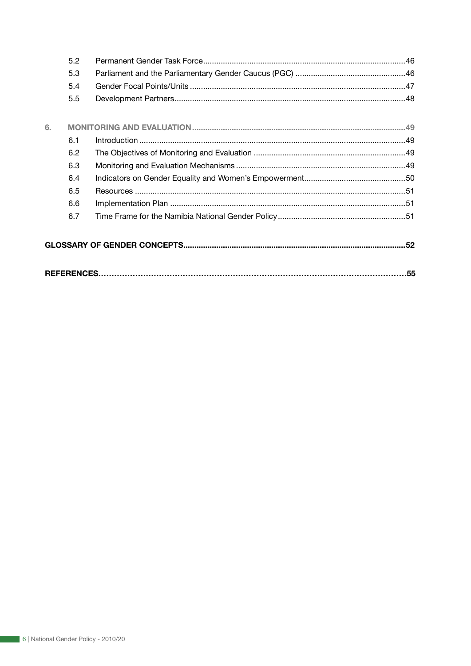|    | 5.2 |     |
|----|-----|-----|
|    | 5.3 |     |
|    | 5.4 |     |
|    | 5.5 |     |
| 6. |     |     |
|    | 6.1 |     |
|    | 6.2 |     |
|    | 6.3 |     |
|    | 6.4 |     |
|    | 6.5 |     |
|    | 6.6 |     |
|    | 6.7 |     |
|    |     |     |
|    |     | .55 |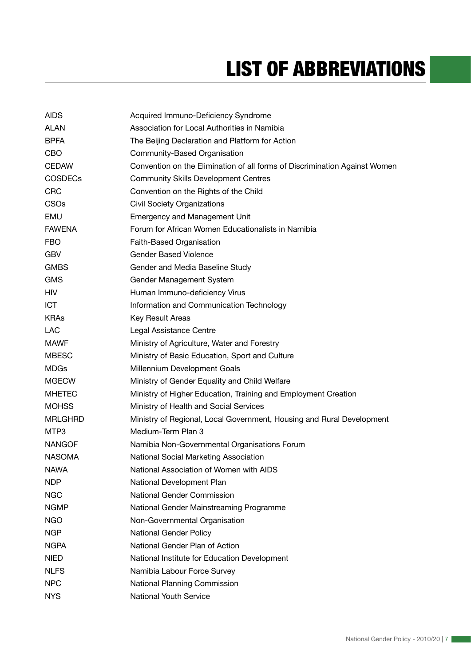# LIST OF ABBREVIATIONS

| <b>AIDS</b>    | Acquired Immuno-Deficiency Syndrome                                        |
|----------------|----------------------------------------------------------------------------|
| <b>ALAN</b>    | Association for Local Authorities in Namibia                               |
| <b>BPFA</b>    | The Beijing Declaration and Platform for Action                            |
| <b>CBO</b>     | Community-Based Organisation                                               |
| <b>CEDAW</b>   | Convention on the Elimination of all forms of Discrimination Against Women |
| <b>COSDECs</b> | <b>Community Skills Development Centres</b>                                |
| <b>CRC</b>     | Convention on the Rights of the Child                                      |
| <b>CSOs</b>    | <b>Civil Society Organizations</b>                                         |
| <b>EMU</b>     | <b>Emergency and Management Unit</b>                                       |
| <b>FAWENA</b>  | Forum for African Women Educationalists in Namibia                         |
| <b>FBO</b>     | Faith-Based Organisation                                                   |
| <b>GBV</b>     | <b>Gender Based Violence</b>                                               |
| <b>GMBS</b>    | Gender and Media Baseline Study                                            |
| <b>GMS</b>     | Gender Management System                                                   |
| <b>HIV</b>     | Human Immuno-deficiency Virus                                              |
| <b>ICT</b>     | Information and Communication Technology                                   |
| <b>KRAs</b>    | Key Result Areas                                                           |
| <b>LAC</b>     | Legal Assistance Centre                                                    |
| <b>MAWF</b>    | Ministry of Agriculture, Water and Forestry                                |
| <b>MBESC</b>   | Ministry of Basic Education, Sport and Culture                             |
| <b>MDGs</b>    | Millennium Development Goals                                               |
| <b>MGECW</b>   | Ministry of Gender Equality and Child Welfare                              |
| <b>MHETEC</b>  | Ministry of Higher Education, Training and Employment Creation             |
| <b>MOHSS</b>   | Ministry of Health and Social Services                                     |
| MRLGHRD        | Ministry of Regional, Local Government, Housing and Rural Development      |
| MTP3           | Medium-Term Plan 3                                                         |
| <b>NANGOF</b>  | Namibia Non-Governmental Organisations Forum                               |
| <b>NASOMA</b>  | National Social Marketing Association                                      |
| <b>NAWA</b>    | National Association of Women with AIDS                                    |
| <b>NDP</b>     | National Development Plan                                                  |
| <b>NGC</b>     | National Gender Commission                                                 |
| <b>NGMP</b>    | National Gender Mainstreaming Programme                                    |
| <b>NGO</b>     | Non-Governmental Organisation                                              |
| <b>NGP</b>     | <b>National Gender Policy</b>                                              |
| <b>NGPA</b>    | National Gender Plan of Action                                             |
| <b>NIED</b>    | National Institute for Education Development                               |
| <b>NLFS</b>    | Namibia Labour Force Survey                                                |
| <b>NPC</b>     | National Planning Commission                                               |
| <b>NYS</b>     | <b>National Youth Service</b>                                              |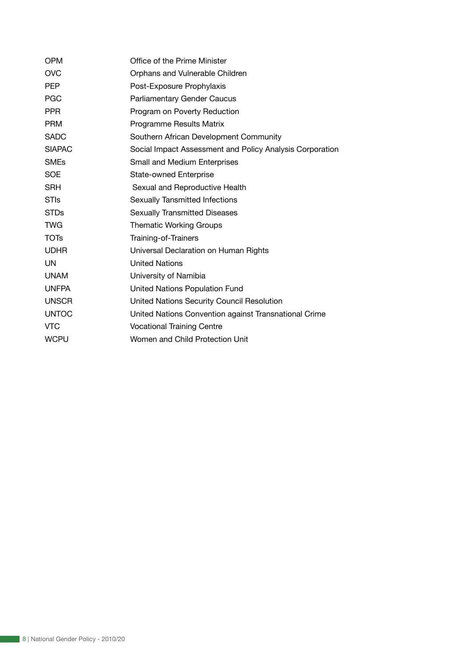| OPM           | Office of the Prime Minister                             |
|---------------|----------------------------------------------------------|
| <b>OVC</b>    | Orphans and Vulnerable Children                          |
| <b>PEP</b>    | Post-Exposure Prophylaxis                                |
| <b>PGC</b>    | <b>Parliamentary Gender Caucus</b>                       |
| <b>PPR</b>    | Program on Poverty Reduction                             |
| <b>PRM</b>    | Programme Results Matrix                                 |
| <b>SADC</b>   | Southern African Development Community                   |
| <b>SIAPAC</b> | Social Impact Assessment and Policy Analysis Corporation |
| <b>SMEs</b>   | Small and Medium Enterprises                             |
| <b>SOE</b>    | <b>State-owned Enterprise</b>                            |
| <b>SRH</b>    | Sexual and Reproductive Health                           |
| <b>STIs</b>   | Sexually Tansmitted Infections                           |
| <b>STDs</b>   | <b>Sexually Transmitted Diseases</b>                     |
| <b>TWG</b>    | <b>Thematic Working Groups</b>                           |
| <b>TOTs</b>   | Training-of-Trainers                                     |
| <b>UDHR</b>   | Universal Declaration on Human Rights                    |
| UN            | <b>United Nations</b>                                    |
| <b>UNAM</b>   | University of Namibia                                    |
| <b>UNFPA</b>  | United Nations Population Fund                           |
| <b>UNSCR</b>  | United Nations Security Council Resolution               |
| <b>UNTOC</b>  | United Nations Convention against Transnational Crime    |
| <b>VTC</b>    | <b>Vocational Training Centre</b>                        |
| <b>WCPU</b>   | Women and Child Protection Unit                          |
|               |                                                          |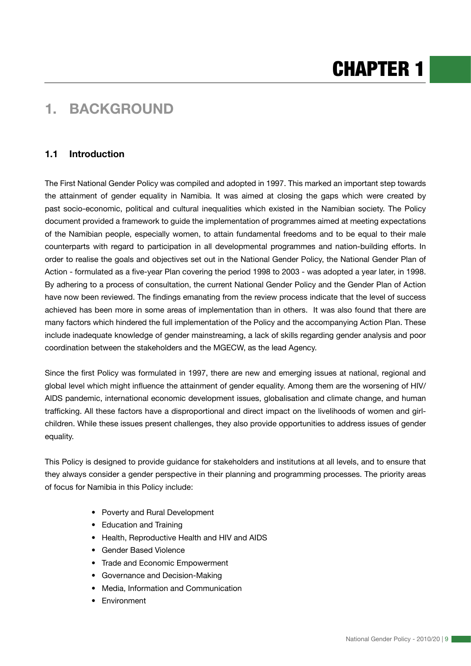# CHAPTER 1

# **1. BACKGROUND**

# **1.1 Introduction**

The First National Gender Policy was compiled and adopted in 1997. This marked an important step towards the attainment of gender equality in Namibia. It was aimed at closing the gaps which were created by past socio-economic, political and cultural inequalities which existed in the Namibian society. The Policy document provided a framework to guide the implementation of programmes aimed at meeting expectations of the Namibian people, especially women, to attain fundamental freedoms and to be equal to their male counterparts with regard to participation in all developmental programmes and nation-building efforts. In order to realise the goals and objectives set out in the National Gender Policy, the National Gender Plan of Action - formulated as a five-year Plan covering the period 1998 to 2003 - was adopted a year later, in 1998. By adhering to a process of consultation, the current National Gender Policy and the Gender Plan of Action have now been reviewed. The findings emanating from the review process indicate that the level of success achieved has been more in some areas of implementation than in others. It was also found that there are many factors which hindered the full implementation of the Policy and the accompanying Action Plan. These include inadequate knowledge of gender mainstreaming, a lack of skills regarding gender analysis and poor coordination between the stakeholders and the MGECW, as the lead Agency.

Since the first Policy was formulated in 1997, there are new and emerging issues at national, regional and global level which might influence the attainment of gender equality. Among them are the worsening of HIV/ AIDS pandemic, international economic development issues, globalisation and climate change, and human trafficking. All these factors have a disproportional and direct impact on the livelihoods of women and girlchildren. While these issues present challenges, they also provide opportunities to address issues of gender equality.

This Policy is designed to provide guidance for stakeholders and institutions at all levels, and to ensure that they always consider a gender perspective in their planning and programming processes. The priority areas of focus for Namibia in this Policy include:

- Poverty and Rural Development
- Education and Training
- Health, Reproductive Health and HIV and AIDS
- Gender Based Violence
- Trade and Economic Empowerment
- Governance and Decision-Making
- Media, Information and Communication
- Environment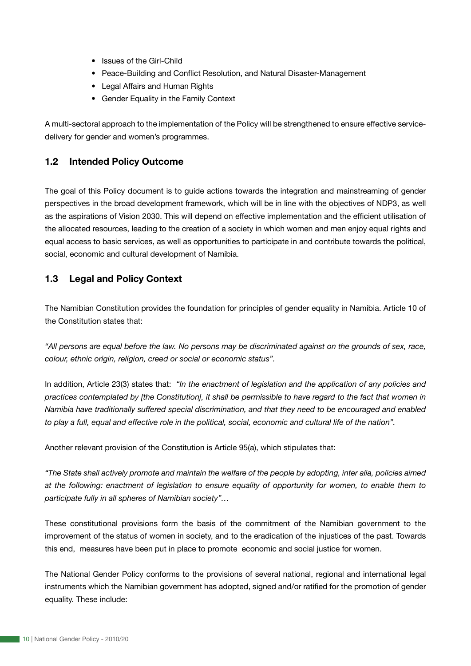- Issues of the Girl-Child
- Peace-Building and Conflict Resolution, and Natural Disaster-Management
- Legal Affairs and Human Rights
- Gender Equality in the Family Context

A multi-sectoral approach to the implementation of the Policy will be strengthened to ensure effective servicedelivery for gender and women's programmes.

## **1.2 Intended Policy Outcome**

The goal of this Policy document is to guide actions towards the integration and mainstreaming of gender perspectives in the broad development framework, which will be in line with the objectives of NDP3, as well as the aspirations of Vision 2030. This will depend on effective implementation and the efficient utilisation of the allocated resources, leading to the creation of a society in which women and men enjoy equal rights and equal access to basic services, as well as opportunities to participate in and contribute towards the political, social, economic and cultural development of Namibia.

# **1.3 Legal and Policy Context**

The Namibian Constitution provides the foundation for principles of gender equality in Namibia. Article 10 of the Constitution states that:

*"All persons are equal before the law. No persons may be discriminated against on the grounds of sex, race, colour, ethnic origin, religion, creed or social or economic status".* 

In addition, Article 23(3) states that: *"In the enactment of legislation and the application of any policies and practices contemplated by [the Constitution], it shall be permissible to have regard to the fact that women in Namibia have traditionally suffered special discrimination, and that they need to be encouraged and enabled to play a full, equal and effective role in the political, social, economic and cultural life of the nation".* 

Another relevant provision of the Constitution is Article 95(a), which stipulates that:

*"The State shall actively promote and maintain the welfare of the people by adopting, inter alia, policies aimed at the following: enactment of legislation to ensure equality of opportunity for women, to enable them to participate fully in all spheres of Namibian society"…* 

These constitutional provisions form the basis of the commitment of the Namibian government to the improvement of the status of women in society, and to the eradication of the injustices of the past. Towards this end, measures have been put in place to promote economic and social justice for women.

The National Gender Policy conforms to the provisions of several national, regional and international legal instruments which the Namibian government has adopted, signed and/or ratified for the promotion of gender equality. These include: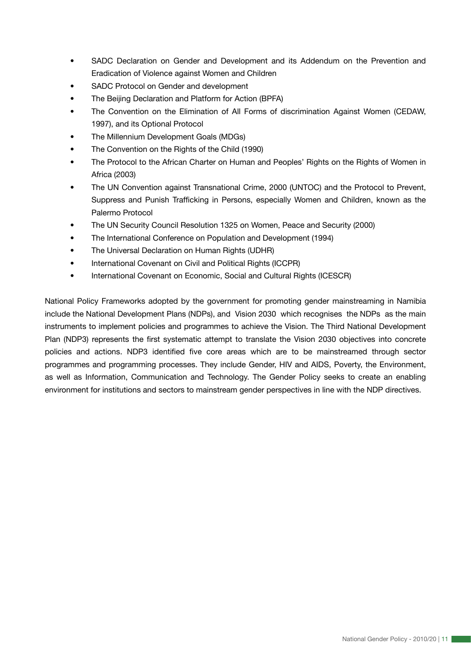- SADC Declaration on Gender and Development and its Addendum on the Prevention and Eradication of Violence against Women and Children
- SADC Protocol on Gender and development
- The Beijing Declaration and Platform for Action (BPFA)
- The Convention on the Elimination of All Forms of discrimination Against Women (CEDAW, 1997), and its Optional Protocol
- The Millennium Development Goals (MDGs)
- The Convention on the Rights of the Child (1990)
- The Protocol to the African Charter on Human and Peoples' Rights on the Rights of Women in Africa (2003)
- The UN Convention against Transnational Crime, 2000 (UNTOC) and the Protocol to Prevent, Suppress and Punish Trafficking in Persons, especially Women and Children, known as the Palermo Protocol
- The UN Security Council Resolution 1325 on Women, Peace and Security (2000)
- The International Conference on Population and Development (1994)
- The Universal Declaration on Human Rights (UDHR)
- International Covenant on Civil and Political Rights (ICCPR)
- International Covenant on Economic, Social and Cultural Rights (ICESCR)

National Policy Frameworks adopted by the government for promoting gender mainstreaming in Namibia include the National Development Plans (NDPs), and Vision 2030 which recognises the NDPs as the main instruments to implement policies and programmes to achieve the Vision. The Third National Development Plan (NDP3) represents the first systematic attempt to translate the Vision 2030 objectives into concrete policies and actions. NDP3 identified five core areas which are to be mainstreamed through sector programmes and programming processes. They include Gender, HIV and AIDS, Poverty, the Environment, as well as Information, Communication and Technology. The Gender Policy seeks to create an enabling environment for institutions and sectors to mainstream gender perspectives in line with the NDP directives.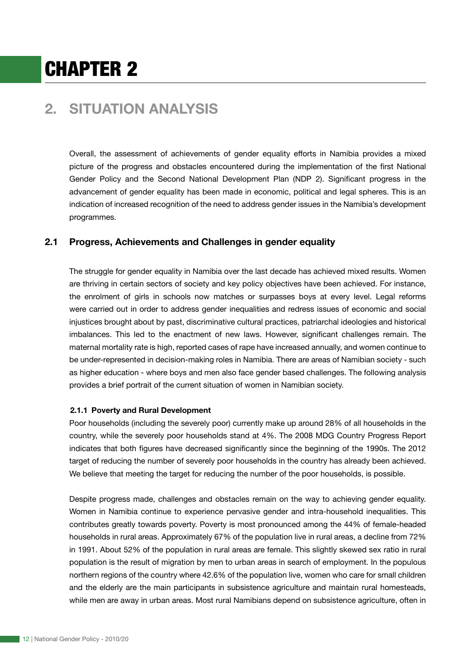# CHAPTER 2

# **2. SITUATION ANALYSIS**

Overall, the assessment of achievements of gender equality efforts in Namibia provides a mixed picture of the progress and obstacles encountered during the implementation of the first National Gender Policy and the Second National Development Plan (NDP 2). Significant progress in the advancement of gender equality has been made in economic, political and legal spheres. This is an indication of increased recognition of the need to address gender issues in the Namibia's development programmes.

# **2.1 Progress, Achievements and Challenges in gender equality**

The struggle for gender equality in Namibia over the last decade has achieved mixed results. Women are thriving in certain sectors of society and key policy objectives have been achieved. For instance, the enrolment of girls in schools now matches or surpasses boys at every level. Legal reforms were carried out in order to address gender inequalities and redress issues of economic and social injustices brought about by past, discriminative cultural practices, patriarchal ideologies and historical imbalances. This led to the enactment of new laws. However, significant challenges remain. The maternal mortality rate is high, reported cases of rape have increased annually, and women continue to be under-represented in decision-making roles in Namibia. There are areas of Namibian society - such as higher education - where boys and men also face gender based challenges. The following analysis provides a brief portrait of the current situation of women in Namibian society.

#### **2.1.1 Poverty and Rural Development**

Poor households (including the severely poor) currently make up around 28% of all households in the country, while the severely poor households stand at 4%. The 2008 MDG Country Progress Report indicates that both figures have decreased significantly since the beginning of the 1990s. The 2012 target of reducing the number of severely poor households in the country has already been achieved. We believe that meeting the target for reducing the number of the poor households, is possible.

Despite progress made, challenges and obstacles remain on the way to achieving gender equality. Women in Namibia continue to experience pervasive gender and intra-household inequalities. This contributes greatly towards poverty. Poverty is most pronounced among the 44% of female-headed households in rural areas. Approximately 67% of the population live in rural areas, a decline from 72% in 1991. About 52% of the population in rural areas are female. This slightly skewed sex ratio in rural population is the result of migration by men to urban areas in search of employment. In the populous northern regions of the country where 42.6% of the population live, women who care for small children and the elderly are the main participants in subsistence agriculture and maintain rural homesteads, while men are away in urban areas. Most rural Namibians depend on subsistence agriculture, often in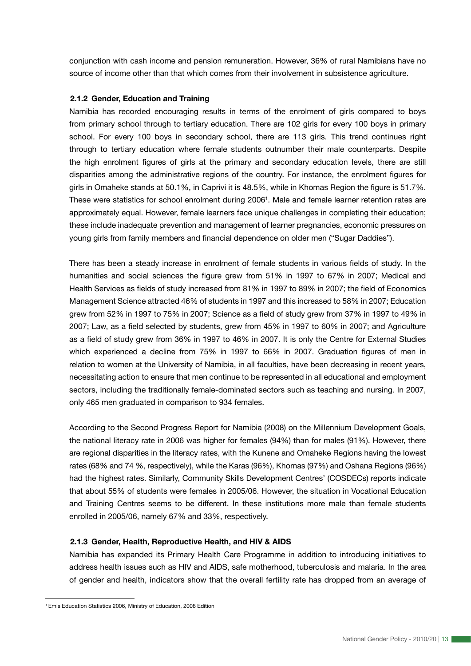conjunction with cash income and pension remuneration. However, 36% of rural Namibians have no source of income other than that which comes from their involvement in subsistence agriculture.

#### **2.1.2 Gender, Education and Training**

Namibia has recorded encouraging results in terms of the enrolment of girls compared to boys from primary school through to tertiary education. There are 102 girls for every 100 boys in primary school. For every 100 boys in secondary school, there are 113 girls. This trend continues right through to tertiary education where female students outnumber their male counterparts. Despite the high enrolment figures of girls at the primary and secondary education levels, there are still disparities among the administrative regions of the country. For instance, the enrolment figures for girls in Omaheke stands at 50.1%, in Caprivi it is 48.5%, while in Khomas Region the figure is 51.7%. These were statistics for school enrolment during 2006<sup>1</sup>. Male and female learner retention rates are approximately equal. However, female learners face unique challenges in completing their education; these include inadequate prevention and management of learner pregnancies, economic pressures on young girls from family members and financial dependence on older men ("Sugar Daddies").

There has been a steady increase in enrolment of female students in various fields of study. In the humanities and social sciences the figure grew from 51% in 1997 to 67% in 2007; Medical and Health Services as fields of study increased from 81% in 1997 to 89% in 2007; the field of Economics Management Science attracted 46% of students in 1997 and this increased to 58% in 2007; Education grew from 52% in 1997 to 75% in 2007; Science as a field of study grew from 37% in 1997 to 49% in 2007; Law, as a field selected by students, grew from 45% in 1997 to 60% in 2007; and Agriculture as a field of study grew from 36% in 1997 to 46% in 2007. It is only the Centre for External Studies which experienced a decline from 75% in 1997 to 66% in 2007. Graduation figures of men in relation to women at the University of Namibia, in all faculties, have been decreasing in recent years, necessitating action to ensure that men continue to be represented in all educational and employment sectors, including the traditionally female-dominated sectors such as teaching and nursing. In 2007, only 465 men graduated in comparison to 934 females.

According to the Second Progress Report for Namibia (2008) on the Millennium Development Goals, the national literacy rate in 2006 was higher for females (94%) than for males (91%). However, there are regional disparities in the literacy rates, with the Kunene and Omaheke Regions having the lowest rates (68% and 74 %, respectively), while the Karas (96%), Khomas (97%) and Oshana Regions (96%) had the highest rates. Similarly, Community Skills Development Centres' (COSDECs) reports indicate that about 55% of students were females in 2005/06. However, the situation in Vocational Education and Training Centres seems to be different. In these institutions more male than female students enrolled in 2005/06, namely 67% and 33%, respectively.

#### **2.1.3 Gender, Health, Reproductive Health, and HIV & AIDS**

Namibia has expanded its Primary Health Care Programme in addition to introducing initiatives to address health issues such as HIV and AIDS, safe motherhood, tuberculosis and malaria. In the area of gender and health, indicators show that the overall fertility rate has dropped from an average of

<sup>1</sup> Emis Education Statistics 2006, Ministry of Education, 2008 Edition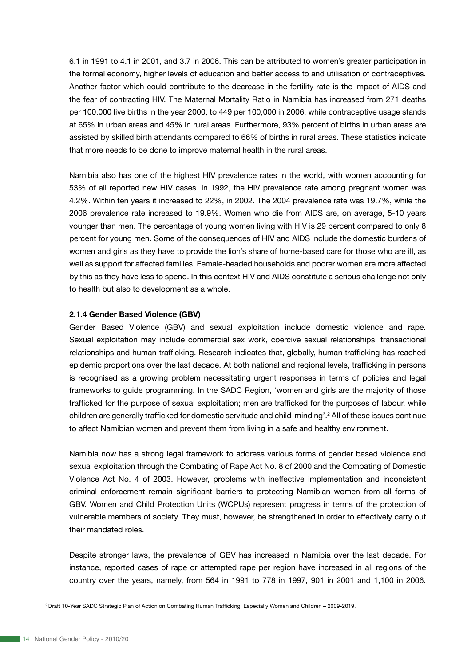6.1 in 1991 to 4.1 in 2001, and 3.7 in 2006. This can be attributed to women's greater participation in the formal economy, higher levels of education and better access to and utilisation of contraceptives. Another factor which could contribute to the decrease in the fertility rate is the impact of AIDS and the fear of contracting HIV. The Maternal Mortality Ratio in Namibia has increased from 271 deaths per 100,000 live births in the year 2000, to 449 per 100,000 in 2006, while contraceptive usage stands at 65% in urban areas and 45% in rural areas. Furthermore, 93% percent of births in urban areas are assisted by skilled birth attendants compared to 66% of births in rural areas. These statistics indicate that more needs to be done to improve maternal health in the rural areas.

Namibia also has one of the highest HIV prevalence rates in the world, with women accounting for 53% of all reported new HIV cases. In 1992, the HIV prevalence rate among pregnant women was 4.2%. Within ten years it increased to 22%, in 2002. The 2004 prevalence rate was 19.7%, while the 2006 prevalence rate increased to 19.9%. Women who die from AIDS are, on average, 5-10 years younger than men. The percentage of young women living with HIV is 29 percent compared to only 8 percent for young men. Some of the consequences of HIV and AIDS include the domestic burdens of women and girls as they have to provide the lion's share of home-based care for those who are ill, as well as support for affected families. Female-headed households and poorer women are more affected by this as they have less to spend. In this context HIV and AIDS constitute a serious challenge not only to health but also to development as a whole.

#### **2.1.4 Gender Based Violence (GBV)**

Gender Based Violence (GBV) and sexual exploitation include domestic violence and rape. Sexual exploitation may include commercial sex work, coercive sexual relationships, transactional relationships and human trafficking. Research indicates that, globally, human trafficking has reached epidemic proportions over the last decade. At both national and regional levels, trafficking in persons is recognised as a growing problem necessitating urgent responses in terms of policies and legal frameworks to guide programming. In the SADC Region, 'women and girls are the majority of those trafficked for the purpose of sexual exploitation; men are trafficked for the purposes of labour, while children are generally trafficked for domestic servitude and child-minding'.2 All of these issues continue to affect Namibian women and prevent them from living in a safe and healthy environment.

Namibia now has a strong legal framework to address various forms of gender based violence and sexual exploitation through the Combating of Rape Act No. 8 of 2000 and the Combating of Domestic Violence Act No. 4 of 2003. However, problems with ineffective implementation and inconsistent criminal enforcement remain significant barriers to protecting Namibian women from all forms of GBV. Women and Child Protection Units (WCPUs) represent progress in terms of the protection of vulnerable members of society. They must, however, be strengthened in order to effectively carry out their mandated roles.

Despite stronger laws, the prevalence of GBV has increased in Namibia over the last decade. For instance, reported cases of rape or attempted rape per region have increased in all regions of the country over the years, namely, from 564 in 1991 to 778 in 1997, 901 in 2001 and 1,100 in 2006.

<sup>2</sup> Draft 10-Year SADC Strategic Plan of Action on Combating Human Trafficking, Especially Women and Children – 2009-2019.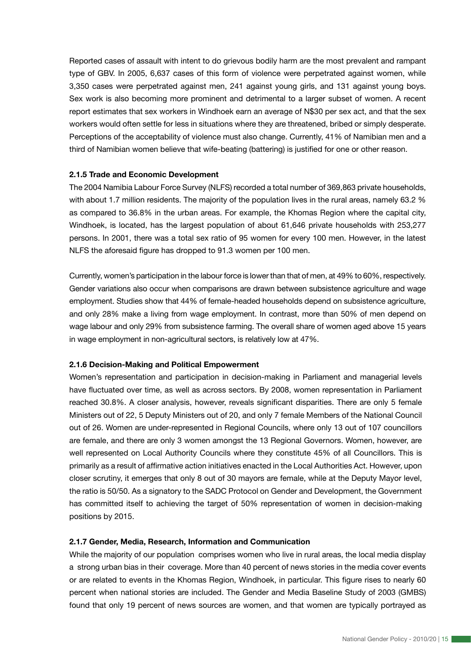Reported cases of assault with intent to do grievous bodily harm are the most prevalent and rampant type of GBV. In 2005, 6,637 cases of this form of violence were perpetrated against women, while 3,350 cases were perpetrated against men, 241 against young girls, and 131 against young boys. Sex work is also becoming more prominent and detrimental to a larger subset of women. A recent report estimates that sex workers in Windhoek earn an average of N\$30 per sex act, and that the sex workers would often settle for less in situations where they are threatened, bribed or simply desperate. Perceptions of the acceptability of violence must also change. Currently, 41% of Namibian men and a third of Namibian women believe that wife-beating (battering) is justified for one or other reason.

#### **2.1.5 Trade and Economic Development**

The 2004 Namibia Labour Force Survey (NLFS) recorded a total number of 369,863 private households, with about 1.7 million residents. The majority of the population lives in the rural areas, namely 63.2 % as compared to 36.8% in the urban areas. For example, the Khomas Region where the capital city, Windhoek, is located, has the largest population of about 61,646 private households with 253,277 persons. In 2001, there was a total sex ratio of 95 women for every 100 men. However, in the latest NLFS the aforesaid figure has dropped to 91.3 women per 100 men.

Currently, women's participation in the labour force is lower than that of men, at 49% to 60%, respectively. Gender variations also occur when comparisons are drawn between subsistence agriculture and wage employment. Studies show that 44% of female-headed households depend on subsistence agriculture, and only 28% make a living from wage employment. In contrast, more than 50% of men depend on wage labour and only 29% from subsistence farming. The overall share of women aged above 15 years in wage employment in non-agricultural sectors, is relatively low at 47%.

#### **2.1.6 Decision-Making and Political Empowerment**

Women's representation and participation in decision-making in Parliament and managerial levels have fluctuated over time, as well as across sectors. By 2008, women representation in Parliament reached 30.8%. A closer analysis, however, reveals significant disparities. There are only 5 female Ministers out of 22, 5 Deputy Ministers out of 20, and only 7 female Members of the National Council out of 26. Women are under-represented in Regional Councils, where only 13 out of 107 councillors are female, and there are only 3 women amongst the 13 Regional Governors. Women, however, are well represented on Local Authority Councils where they constitute 45% of all Councillors. This is primarily as a result of affirmative action initiatives enacted in the Local Authorities Act. However, upon closer scrutiny, it emerges that only 8 out of 30 mayors are female, while at the Deputy Mayor level, the ratio is 50/50. As a signatory to the SADC Protocol on Gender and Development, the Government has committed itself to achieving the target of 50% representation of women in decision-making positions by 2015.

#### **2.1.7 Gender, Media, Research, Information and Communication**

While the majority of our population comprises women who live in rural areas, the local media display a strong urban bias in their coverage. More than 40 percent of news stories in the media cover events or are related to events in the Khomas Region, Windhoek, in particular. This figure rises to nearly 60 percent when national stories are included. The Gender and Media Baseline Study of 2003 (GMBS) found that only 19 percent of news sources are women, and that women are typically portrayed as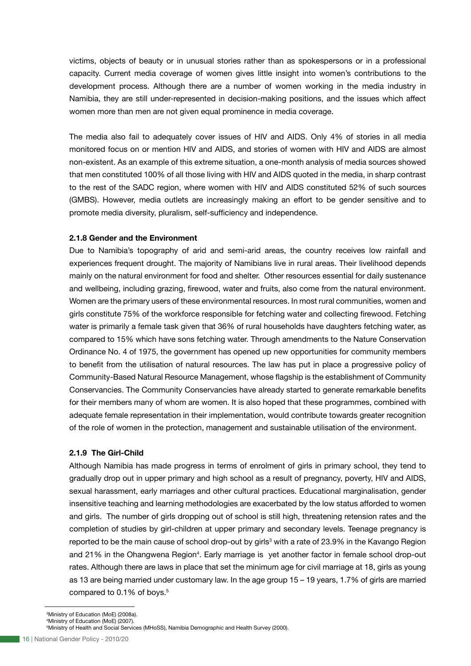victims, objects of beauty or in unusual stories rather than as spokespersons or in a professional capacity. Current media coverage of women gives little insight into women's contributions to the development process. Although there are a number of women working in the media industry in Namibia, they are still under-represented in decision-making positions, and the issues which affect women more than men are not given equal prominence in media coverage.

The media also fail to adequately cover issues of HIV and AIDS. Only 4% of stories in all media monitored focus on or mention HIV and AIDS, and stories of women with HIV and AIDS are almost non-existent. As an example of this extreme situation, a one-month analysis of media sources showed that men constituted 100% of all those living with HIV and AIDS quoted in the media, in sharp contrast to the rest of the SADC region, where women with HIV and AIDS constituted 52% of such sources (GMBS). However, media outlets are increasingly making an effort to be gender sensitive and to promote media diversity, pluralism, self-sufficiency and independence.

#### **2.1.8 Gender and the Environment**

Due to Namibia's topography of arid and semi-arid areas, the country receives low rainfall and experiences frequent drought. The majority of Namibians live in rural areas. Their livelihood depends mainly on the natural environment for food and shelter. Other resources essential for daily sustenance and wellbeing, including grazing, firewood, water and fruits, also come from the natural environment. Women are the primary users of these environmental resources. In most rural communities, women and girls constitute 75% of the workforce responsible for fetching water and collecting firewood. Fetching water is primarily a female task given that 36% of rural households have daughters fetching water, as compared to 15% which have sons fetching water. Through amendments to the Nature Conservation Ordinance No. 4 of 1975, the government has opened up new opportunities for community members to benefit from the utilisation of natural resources. The law has put in place a progressive policy of Community-Based Natural Resource Management, whose flagship is the establishment of Community Conservancies. The Community Conservancies have already started to generate remarkable benefits for their members many of whom are women. It is also hoped that these programmes, combined with adequate female representation in their implementation, would contribute towards greater recognition of the role of women in the protection, management and sustainable utilisation of the environment.

#### **2.1.9 The Girl-Child**

Although Namibia has made progress in terms of enrolment of girls in primary school, they tend to gradually drop out in upper primary and high school as a result of pregnancy, poverty, HIV and AIDS, sexual harassment, early marriages and other cultural practices. Educational marginalisation, gender insensitive teaching and learning methodologies are exacerbated by the low status afforded to women and girls. The number of girls dropping out of school is still high, threatening retension rates and the completion of studies by girl-children at upper primary and secondary levels. Teenage pregnancy is reported to be the main cause of school drop-out by girls<sup>3</sup> with a rate of 23.9% in the Kavango Region and 21% in the Ohangwena Region<sup>4</sup>. Early marriage is yet another factor in female school drop-out rates. Although there are laws in place that set the minimum age for civil marriage at 18, girls as young as 13 are being married under customary law. In the age group 15 – 19 years, 1.7% of girls are married compared to 0.1% of boys.<sup>5</sup>

3 Ministry of Education (MoE) (2008a).

4 Ministry of Education (MoE) (2007).

<sup>5</sup> Ministry of Health and Social Services (MHoSS), Namibia Demographic and Health Survey (2000).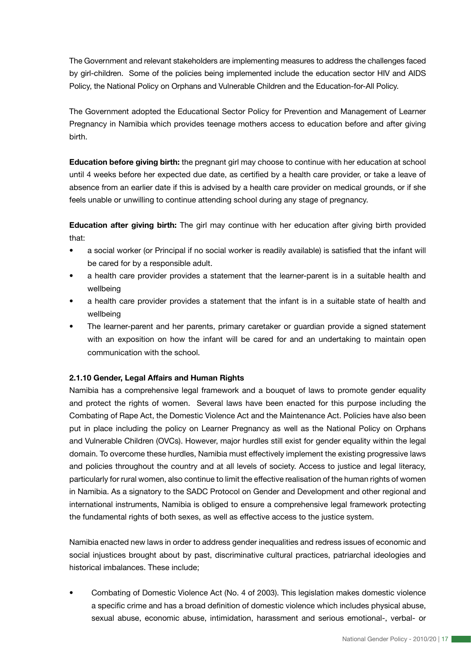The Government and relevant stakeholders are implementing measures to address the challenges faced by girl-children. Some of the policies being implemented include the education sector HIV and AIDS Policy, the National Policy on Orphans and Vulnerable Children and the Education-for-All Policy.

The Government adopted the Educational Sector Policy for Prevention and Management of Learner Pregnancy in Namibia which provides teenage mothers access to education before and after giving birth.

**Education before giving birth:** the pregnant girl may choose to continue with her education at school until 4 weeks before her expected due date, as certified by a health care provider, or take a leave of absence from an earlier date if this is advised by a health care provider on medical grounds, or if she feels unable or unwilling to continue attending school during any stage of pregnancy.

**Education after giving birth:** The girl may continue with her education after giving birth provided that:

- a social worker (or Principal if no social worker is readily available) is satisfied that the infant will be cared for by a responsible adult.
- a health care provider provides a statement that the learner-parent is in a suitable health and wellbeing
- a health care provider provides a statement that the infant is in a suitable state of health and wellbeing
- The learner-parent and her parents, primary caretaker or guardian provide a signed statement with an exposition on how the infant will be cared for and an undertaking to maintain open communication with the school.

### **2.1.10 Gender, Legal Affairs and Human Rights**

Namibia has a comprehensive legal framework and a bouquet of laws to promote gender equality and protect the rights of women. Several laws have been enacted for this purpose including the Combating of Rape Act, the Domestic Violence Act and the Maintenance Act. Policies have also been put in place including the policy on Learner Pregnancy as well as the National Policy on Orphans and Vulnerable Children (OVCs). However, major hurdles still exist for gender equality within the legal domain. To overcome these hurdles, Namibia must effectively implement the existing progressive laws and policies throughout the country and at all levels of society. Access to justice and legal literacy, particularly for rural women, also continue to limit the effective realisation of the human rights of women in Namibia. As a signatory to the SADC Protocol on Gender and Development and other regional and international instruments, Namibia is obliged to ensure a comprehensive legal framework protecting the fundamental rights of both sexes, as well as effective access to the justice system.

Namibia enacted new laws in order to address gender inequalities and redress issues of economic and social injustices brought about by past, discriminative cultural practices, patriarchal ideologies and historical imbalances. These include;

• Combating of Domestic Violence Act (No. 4 of 2003). This legislation makes domestic violence a specific crime and has a broad definition of domestic violence which includes physical abuse, sexual abuse, economic abuse, intimidation, harassment and serious emotional-, verbal- or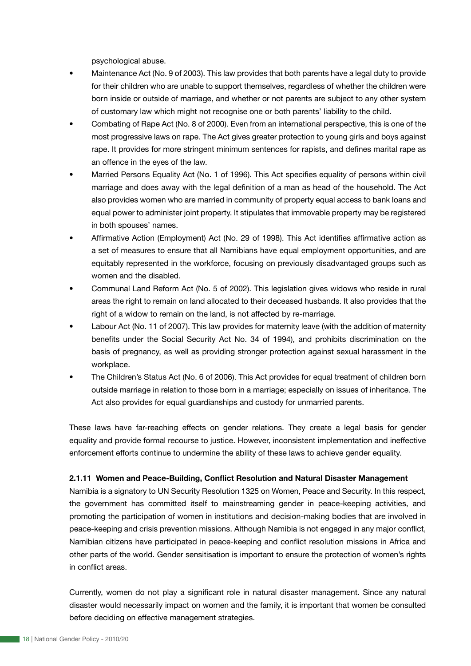psychological abuse.

- Maintenance Act (No. 9 of 2003). This law provides that both parents have a legal duty to provide for their children who are unable to support themselves, regardless of whether the children were born inside or outside of marriage, and whether or not parents are subject to any other system of customary law which might not recognise one or both parents' liability to the child.
- Combating of Rape Act (No. 8 of 2000). Even from an international perspective, this is one of the most progressive laws on rape. The Act gives greater protection to young girls and boys against rape. It provides for more stringent minimum sentences for rapists, and defines marital rape as an offence in the eyes of the law.
- Married Persons Equality Act (No. 1 of 1996). This Act specifies equality of persons within civil marriage and does away with the legal definition of a man as head of the household. The Act also provides women who are married in community of property equal access to bank loans and equal power to administer joint property. It stipulates that immovable property may be registered in both spouses' names.
- Affirmative Action (Employment) Act (No. 29 of 1998). This Act identifies affirmative action as a set of measures to ensure that all Namibians have equal employment opportunities, and are equitably represented in the workforce, focusing on previously disadvantaged groups such as women and the disabled.
- Communal Land Reform Act (No. 5 of 2002). This legislation gives widows who reside in rural areas the right to remain on land allocated to their deceased husbands. It also provides that the right of a widow to remain on the land, is not affected by re-marriage.
- Labour Act (No. 11 of 2007). This law provides for maternity leave (with the addition of maternity benefits under the Social Security Act No. 34 of 1994), and prohibits discrimination on the basis of pregnancy, as well as providing stronger protection against sexual harassment in the workplace.
- The Children's Status Act (No. 6 of 2006). This Act provides for equal treatment of children born outside marriage in relation to those born in a marriage; especially on issues of inheritance. The Act also provides for equal guardianships and custody for unmarried parents.

These laws have far-reaching effects on gender relations. They create a legal basis for gender equality and provide formal recourse to justice. However, inconsistent implementation and ineffective enforcement efforts continue to undermine the ability of these laws to achieve gender equality.

#### **2.1.11 Women and Peace-Building, Conflict Resolution and Natural Disaster Management**

Namibia is a signatory to UN Security Resolution 1325 on Women, Peace and Security. In this respect, the government has committed itself to mainstreaming gender in peace-keeping activities, and promoting the participation of women in institutions and decision-making bodies that are involved in peace-keeping and crisis prevention missions. Although Namibia is not engaged in any major conflict, Namibian citizens have participated in peace-keeping and conflict resolution missions in Africa and other parts of the world. Gender sensitisation is important to ensure the protection of women's rights in conflict areas.

Currently, women do not play a significant role in natural disaster management. Since any natural disaster would necessarily impact on women and the family, it is important that women be consulted before deciding on effective management strategies.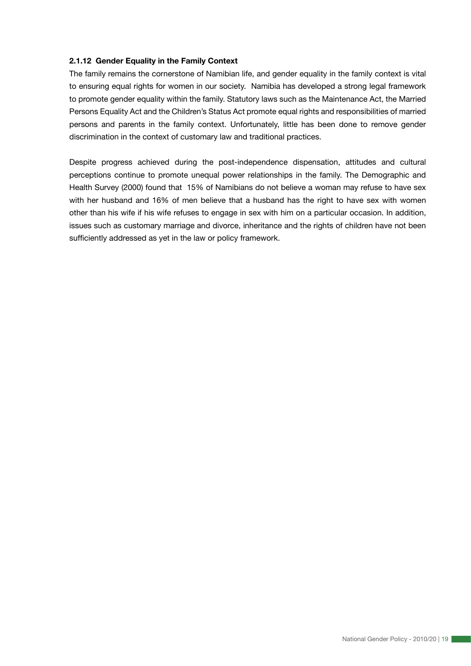#### **2.1.12 Gender Equality in the Family Context**

The family remains the cornerstone of Namibian life, and gender equality in the family context is vital to ensuring equal rights for women in our society. Namibia has developed a strong legal framework to promote gender equality within the family. Statutory laws such as the Maintenance Act, the Married Persons Equality Act and the Children's Status Act promote equal rights and responsibilities of married persons and parents in the family context. Unfortunately, little has been done to remove gender discrimination in the context of customary law and traditional practices.

Despite progress achieved during the post-independence dispensation, attitudes and cultural perceptions continue to promote unequal power relationships in the family. The Demographic and Health Survey (2000) found that 15% of Namibians do not believe a woman may refuse to have sex with her husband and 16% of men believe that a husband has the right to have sex with women other than his wife if his wife refuses to engage in sex with him on a particular occasion. In addition, issues such as customary marriage and divorce, inheritance and the rights of children have not been sufficiently addressed as yet in the law or policy framework.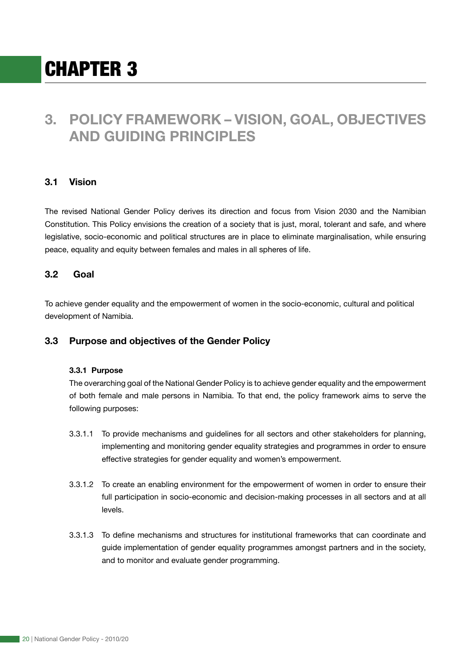# CHAPTER 3

# **3. POLICY FRAMEWORK – VISION, GOAL, OBJECTIVES AND GUIDING PRINCIPLES**

# **3.1 Vision**

The revised National Gender Policy derives its direction and focus from Vision 2030 and the Namibian Constitution. This Policy envisions the creation of a society that is just, moral, tolerant and safe, and where legislative, socio-economic and political structures are in place to eliminate marginalisation, while ensuring peace, equality and equity between females and males in all spheres of life.

## **3.2 Goal**

To achieve gender equality and the empowerment of women in the socio-economic, cultural and political development of Namibia.

### **3.3 Purpose and objectives of the Gender Policy**

#### **3.3.1 Purpose**

The overarching goal of the National Gender Policy is to achieve gender equality and the empowerment of both female and male persons in Namibia. To that end, the policy framework aims to serve the following purposes:

- 3.3.1.1 To provide mechanisms and guidelines for all sectors and other stakeholders for planning, implementing and monitoring gender equality strategies and programmes in order to ensure effective strategies for gender equality and women's empowerment.
- 3.3.1.2 To create an enabling environment for the empowerment of women in order to ensure their full participation in socio-economic and decision-making processes in all sectors and at all levels.
- 3.3.1.3 To define mechanisms and structures for institutional frameworks that can coordinate and guide implementation of gender equality programmes amongst partners and in the society, and to monitor and evaluate gender programming.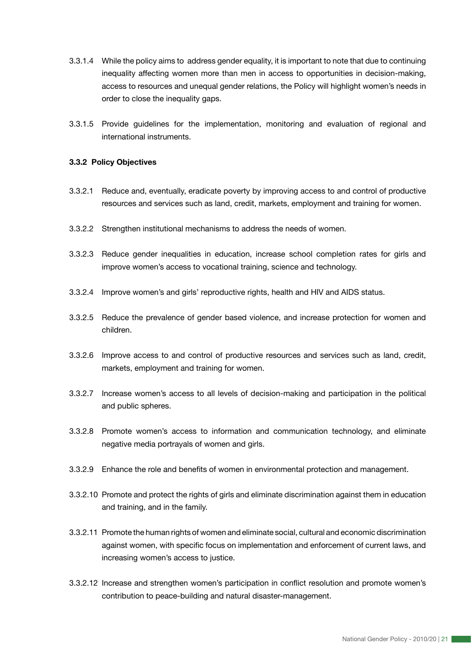- 3.3.1.4 While the policy aims to address gender equality, it is important to note that due to continuing inequality affecting women more than men in access to opportunities in decision-making, access to resources and unequal gender relations, the Policy will highlight women's needs in order to close the inequality gaps.
- 3.3.1.5 Provide guidelines for the implementation, monitoring and evaluation of regional and international instruments.

#### **3.3.2 Policy Objectives**

- 3.3.2.1 Reduce and, eventually, eradicate poverty by improving access to and control of productive resources and services such as land, credit, markets, employment and training for women.
- 3.3.2.2 Strengthen institutional mechanisms to address the needs of women.
- 3.3.2.3 Reduce gender inequalities in education, increase school completion rates for girls and improve women's access to vocational training, science and technology.
- 3.3.2.4 Improve women's and girls' reproductive rights, health and HIV and AIDS status.
- 3.3.2.5 Reduce the prevalence of gender based violence, and increase protection for women and children.
- 3.3.2.6 Improve access to and control of productive resources and services such as land, credit, markets, employment and training for women.
- 3.3.2.7 Increase women's access to all levels of decision-making and participation in the political and public spheres.
- 3.3.2.8 Promote women's access to information and communication technology, and eliminate negative media portrayals of women and girls.
- 3.3.2.9 Enhance the role and benefits of women in environmental protection and management.
- 3.3.2.10 Promote and protect the rights of girls and eliminate discrimination against them in education and training, and in the family.
- 3.3.2.11 Promote the human rights of women and eliminate social, cultural and economic discrimination against women, with specific focus on implementation and enforcement of current laws, and increasing women's access to justice.
- 3.3.2.12 Increase and strengthen women's participation in conflict resolution and promote women's contribution to peace-building and natural disaster-management.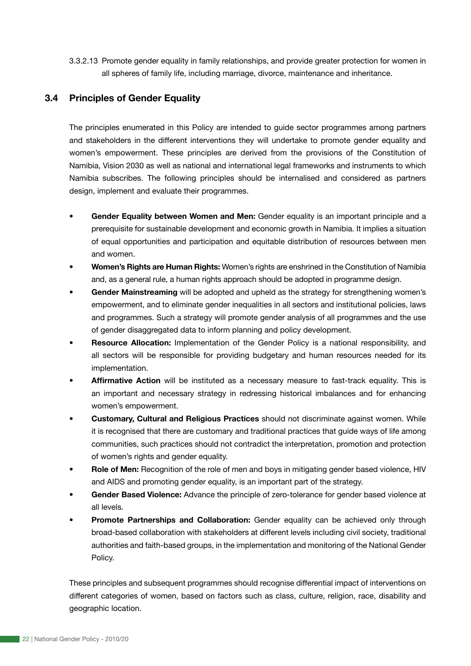3.3.2.13 Promote gender equality in family relationships, and provide greater protection for women in all spheres of family life, including marriage, divorce, maintenance and inheritance.

# **3.4 Principles of Gender Equality**

The principles enumerated in this Policy are intended to guide sector programmes among partners and stakeholders in the different interventions they will undertake to promote gender equality and women's empowerment. These principles are derived from the provisions of the Constitution of Namibia, Vision 2030 as well as national and international legal frameworks and instruments to which Namibia subscribes. The following principles should be internalised and considered as partners design, implement and evaluate their programmes.

- **Gender Equality between Women and Men:** Gender equality is an important principle and a prerequisite for sustainable development and economic growth in Namibia. It implies a situation of equal opportunities and participation and equitable distribution of resources between men and women.
- **Women's Rights are Human Rights:** Women's rights are enshrined in the Constitution of Namibia and, as a general rule, a human rights approach should be adopted in programme design.
- **Gender Mainstreaming** will be adopted and upheld as the strategy for strengthening women's empowerment, and to eliminate gender inequalities in all sectors and institutional policies, laws and programmes. Such a strategy will promote gender analysis of all programmes and the use of gender disaggregated data to inform planning and policy development.
- **Resource Allocation:** Implementation of the Gender Policy is a national responsibility, and all sectors will be responsible for providing budgetary and human resources needed for its implementation.
- **Affirmative Action** will be instituted as a necessary measure to fast-track equality. This is an important and necessary strategy in redressing historical imbalances and for enhancing women's empowerment.
- **Customary, Cultural and Religious Practices** should not discriminate against women. While it is recognised that there are customary and traditional practices that guide ways of life among communities, such practices should not contradict the interpretation, promotion and protection of women's rights and gender equality.
- **Role of Men:** Recognition of the role of men and boys in mitigating gender based violence, HIV and AIDS and promoting gender equality, is an important part of the strategy.
- **Gender Based Violence:** Advance the principle of zero-tolerance for gender based violence at all levels.
- **Promote Partnerships and Collaboration:** Gender equality can be achieved only through broad-based collaboration with stakeholders at different levels including civil society, traditional authorities and faith-based groups, in the implementation and monitoring of the National Gender Policy.

These principles and subsequent programmes should recognise differential impact of interventions on different categories of women, based on factors such as class, culture, religion, race, disability and geographic location.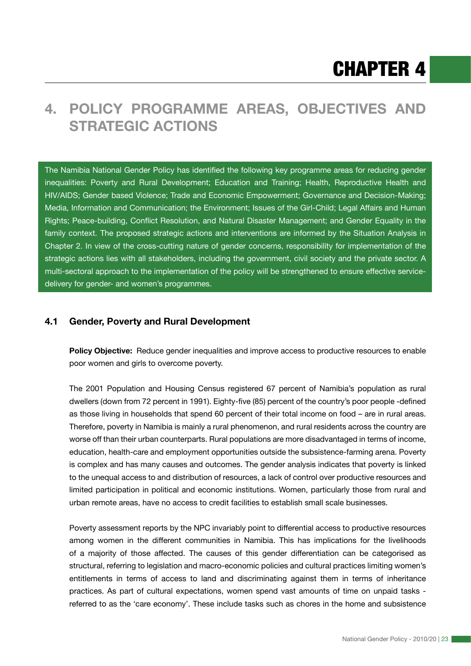# **4. POLICY PROGRAMME AREAS, OBJECTIVES AND STRATEGIC ACTIONS**

The Namibia National Gender Policy has identified the following key programme areas for reducing gender inequalities: Poverty and Rural Development; Education and Training; Health, Reproductive Health and HIV/AIDS; Gender based Violence; Trade and Economic Empowerment; Governance and Decision-Making; Media, Information and Communication; the Environment; Issues of the Girl-Child; Legal Affairs and Human Rights; Peace-building, Conflict Resolution, and Natural Disaster Management; and Gender Equality in the family context. The proposed strategic actions and interventions are informed by the Situation Analysis in Chapter 2. In view of the cross-cutting nature of gender concerns, responsibility for implementation of the strategic actions lies with all stakeholders, including the government, civil society and the private sector. A multi-sectoral approach to the implementation of the policy will be strengthened to ensure effective servicedelivery for gender- and women's programmes.

## **4.1 Gender, Poverty and Rural Development**

**Policy Objective:** Reduce gender inequalities and improve access to productive resources to enable poor women and girls to overcome poverty.

The 2001 Population and Housing Census registered 67 percent of Namibia's population as rural dwellers (down from 72 percent in 1991). Eighty-five (85) percent of the country's poor people -defined as those living in households that spend 60 percent of their total income on food – are in rural areas. Therefore, poverty in Namibia is mainly a rural phenomenon, and rural residents across the country are worse off than their urban counterparts. Rural populations are more disadvantaged in terms of income, education, health-care and employment opportunities outside the subsistence-farming arena. Poverty is complex and has many causes and outcomes. The gender analysis indicates that poverty is linked to the unequal access to and distribution of resources, a lack of control over productive resources and limited participation in political and economic institutions. Women, particularly those from rural and urban remote areas, have no access to credit facilities to establish small scale businesses.

Poverty assessment reports by the NPC invariably point to differential access to productive resources among women in the different communities in Namibia. This has implications for the livelihoods of a majority of those affected. The causes of this gender differentiation can be categorised as structural, referring to legislation and macro-economic policies and cultural practices limiting women's entitlements in terms of access to land and discriminating against them in terms of inheritance practices. As part of cultural expectations, women spend vast amounts of time on unpaid tasks referred to as the 'care economy'. These include tasks such as chores in the home and subsistence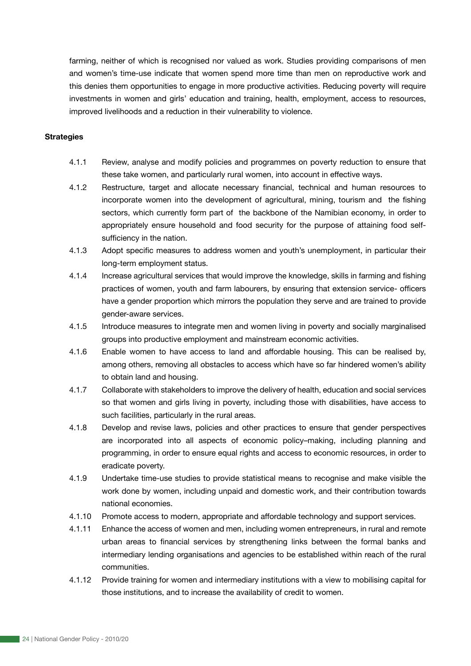farming, neither of which is recognised nor valued as work. Studies providing comparisons of men and women's time-use indicate that women spend more time than men on reproductive work and this denies them opportunities to engage in more productive activities. Reducing poverty will require investments in women and girls' education and training, health, employment, access to resources, improved livelihoods and a reduction in their vulnerability to violence.

#### **Strategies**

- 4.1.1 Review, analyse and modify policies and programmes on poverty reduction to ensure that these take women, and particularly rural women, into account in effective ways.
- 4.1.2 Restructure, target and allocate necessary financial, technical and human resources to incorporate women into the development of agricultural, mining, tourism and the fishing sectors, which currently form part of the backbone of the Namibian economy, in order to appropriately ensure household and food security for the purpose of attaining food selfsufficiency in the nation.
- 4.1.3 Adopt specific measures to address women and youth's unemployment, in particular their long-term employment status.
- 4.1.4 Increase agricultural services that would improve the knowledge, skills in farming and fishing practices of women, youth and farm labourers, by ensuring that extension service- officers have a gender proportion which mirrors the population they serve and are trained to provide gender-aware services.
- 4.1.5 Introduce measures to integrate men and women living in poverty and socially marginalised groups into productive employment and mainstream economic activities.
- 4.1.6 Enable women to have access to land and affordable housing. This can be realised by, among others, removing all obstacles to access which have so far hindered women's ability to obtain land and housing.
- 4.1.7 Collaborate with stakeholders to improve the delivery of health, education and social services so that women and girls living in poverty, including those with disabilities, have access to such facilities, particularly in the rural areas.
- 4.1.8 Develop and revise laws, policies and other practices to ensure that gender perspectives are incorporated into all aspects of economic policy–making, including planning and programming, in order to ensure equal rights and access to economic resources, in order to eradicate poverty.
- 4.1.9 Undertake time-use studies to provide statistical means to recognise and make visible the work done by women, including unpaid and domestic work, and their contribution towards national economies.
- 4.1.10 Promote access to modern, appropriate and affordable technology and support services.
- 4.1.11 Enhance the access of women and men, including women entrepreneurs, in rural and remote urban areas to financial services by strengthening links between the formal banks and intermediary lending organisations and agencies to be established within reach of the rural communities.
- 4.1.12 Provide training for women and intermediary institutions with a view to mobilising capital for those institutions, and to increase the availability of credit to women.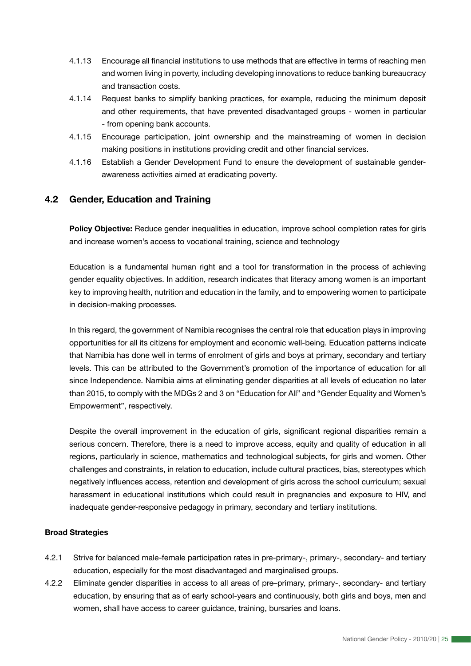- 4.1.13 Encourage all financial institutions to use methods that are effective in terms of reaching men and women living in poverty, including developing innovations to reduce banking bureaucracy and transaction costs.
- 4.1.14 Request banks to simplify banking practices, for example, reducing the minimum deposit and other requirements, that have prevented disadvantaged groups - women in particular - from opening bank accounts.
- 4.1.15 Encourage participation, joint ownership and the mainstreaming of women in decision making positions in institutions providing credit and other financial services.
- 4.1.16 Establish a Gender Development Fund to ensure the development of sustainable genderawareness activities aimed at eradicating poverty.

# **4.2 Gender, Education and Training**

**Policy Objective:** Reduce gender inequalities in education, improve school completion rates for girls and increase women's access to vocational training, science and technology

Education is a fundamental human right and a tool for transformation in the process of achieving gender equality objectives. In addition, research indicates that literacy among women is an important key to improving health, nutrition and education in the family, and to empowering women to participate in decision-making processes.

In this regard, the government of Namibia recognises the central role that education plays in improving opportunities for all its citizens for employment and economic well-being. Education patterns indicate that Namibia has done well in terms of enrolment of girls and boys at primary, secondary and tertiary levels. This can be attributed to the Government's promotion of the importance of education for all since Independence. Namibia aims at eliminating gender disparities at all levels of education no later than 2015, to comply with the MDGs 2 and 3 on "Education for All" and "Gender Equality and Women's Empowerment", respectively.

Despite the overall improvement in the education of girls, significant regional disparities remain a serious concern. Therefore, there is a need to improve access, equity and quality of education in all regions, particularly in science, mathematics and technological subjects, for girls and women. Other challenges and constraints, in relation to education, include cultural practices, bias, stereotypes which negatively influences access, retention and development of girls across the school curriculum; sexual harassment in educational institutions which could result in pregnancies and exposure to HIV, and inadequate gender-responsive pedagogy in primary, secondary and tertiary institutions.

#### **Broad Strategies**

- 4.2.1 Strive for balanced male-female participation rates in pre-primary-, primary-, secondary- and tertiary education, especially for the most disadvantaged and marginalised groups.
- 4.2.2 Eliminate gender disparities in access to all areas of pre–primary, primary-, secondary- and tertiary education, by ensuring that as of early school-years and continuously, both girls and boys, men and women, shall have access to career guidance, training, bursaries and loans.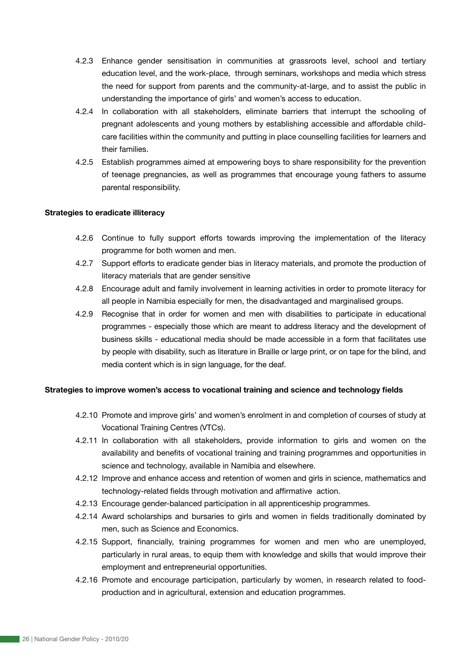- 4.2.3 Enhance gender sensitisation in communities at grassroots level, school and tertiary education level, and the work-place, through seminars, workshops and media which stress the need for support from parents and the community-at-large, and to assist the public in understanding the importance of girls' and women's access to education.
- 4.2.4 In collaboration with all stakeholders, eliminate barriers that interrupt the schooling of pregnant adolescents and young mothers by establishing accessible and affordable childcare facilities within the community and putting in place counselling facilities for learners and their families.
- 4.2.5 Establish programmes aimed at empowering boys to share responsibility for the prevention of teenage pregnancies, as well as programmes that encourage young fathers to assume parental responsibility.

#### **Strategies to eradicate illiteracy**

- 4.2.6 Continue to fully support efforts towards improving the implementation of the literacy programme for both women and men.
- 4.2.7 Support efforts to eradicate gender bias in literacy materials, and promote the production of literacy materials that are gender sensitive
- 4.2.8 Encourage adult and family involvement in learning activities in order to promote literacy for all people in Namibia especially for men, the disadvantaged and marginalised groups.
- 4.2.9 Recognise that in order for women and men with disabilities to participate in educational programmes - especially those which are meant to address literacy and the development of business skills - educational media should be made accessible in a form that facilitates use by people with disability, such as literature in Braille or large print, or on tape for the blind, and media content which is in sign language, for the deaf.

#### **Strategies to improve women's access to vocational training and science and technology fields**

- 4.2.10 Promote and improve girls' and women's enrolment in and completion of courses of study at Vocational Training Centres (VTCs).
- 4.2.11 In collaboration with all stakeholders, provide information to girls and women on the availability and benefits of vocational training and training programmes and opportunities in science and technology, available in Namibia and elsewhere.
- 4.2.12 Improve and enhance access and retention of women and girls in science, mathematics and technology-related fields through motivation and affirmative action.
- 4.2.13 Encourage gender-balanced participation in all apprenticeship programmes.
- 4.2.14 Award scholarships and bursaries to girls and women in fields traditionally dominated by men, such as Science and Economics.
- 4.2.15 Support, financially, training programmes for women and men who are unemployed, particularly in rural areas, to equip them with knowledge and skills that would improve their employment and entrepreneurial opportunities.
- 4.2.16 Promote and encourage participation, particularly by women, in research related to foodproduction and in agricultural, extension and education programmes.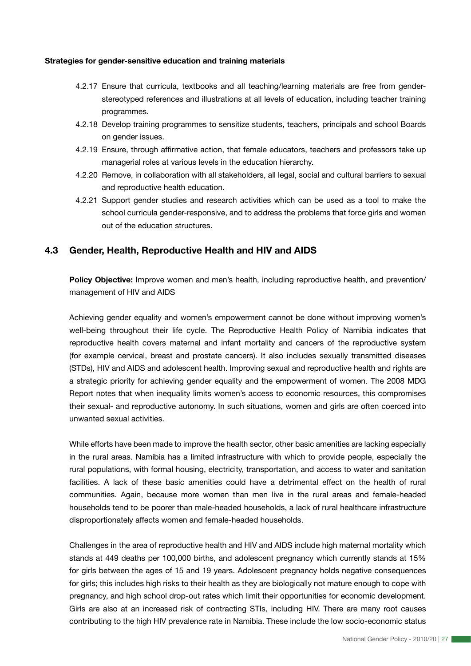#### **Strategies for gender-sensitive education and training materials**

- 4.2.17 Ensure that curricula, textbooks and all teaching/learning materials are free from genderstereotyped references and illustrations at all levels of education, including teacher training programmes.
- 4.2.18 Develop training programmes to sensitize students, teachers, principals and school Boards on gender issues.
- 4.2.19 Ensure, through affirmative action, that female educators, teachers and professors take up managerial roles at various levels in the education hierarchy.
- 4.2.20 Remove, in collaboration with all stakeholders, all legal, social and cultural barriers to sexual and reproductive health education.
- 4.2.21 Support gender studies and research activities which can be used as a tool to make the school curricula gender-responsive, and to address the problems that force girls and women out of the education structures.

## **4.3 Gender, Health, Reproductive Health and HIV and AIDS**

**Policy Objective:** Improve women and men's health, including reproductive health, and prevention/ management of HIV and AIDS

Achieving gender equality and women's empowerment cannot be done without improving women's well-being throughout their life cycle. The Reproductive Health Policy of Namibia indicates that reproductive health covers maternal and infant mortality and cancers of the reproductive system (for example cervical, breast and prostate cancers). It also includes sexually transmitted diseases (STDs), HIV and AIDS and adolescent health. Improving sexual and reproductive health and rights are a strategic priority for achieving gender equality and the empowerment of women. The 2008 MDG Report notes that when inequality limits women's access to economic resources, this compromises their sexual- and reproductive autonomy. In such situations, women and girls are often coerced into unwanted sexual activities.

While efforts have been made to improve the health sector, other basic amenities are lacking especially in the rural areas. Namibia has a limited infrastructure with which to provide people, especially the rural populations, with formal housing, electricity, transportation, and access to water and sanitation facilities. A lack of these basic amenities could have a detrimental effect on the health of rural communities. Again, because more women than men live in the rural areas and female-headed households tend to be poorer than male-headed households, a lack of rural healthcare infrastructure disproportionately affects women and female-headed households.

Challenges in the area of reproductive health and HIV and AIDS include high maternal mortality which stands at 449 deaths per 100,000 births, and adolescent pregnancy which currently stands at 15% for girls between the ages of 15 and 19 years. Adolescent pregnancy holds negative consequences for girls; this includes high risks to their health as they are biologically not mature enough to cope with pregnancy, and high school drop-out rates which limit their opportunities for economic development. Girls are also at an increased risk of contracting STIs, including HIV. There are many root causes contributing to the high HIV prevalence rate in Namibia. These include the low socio-economic status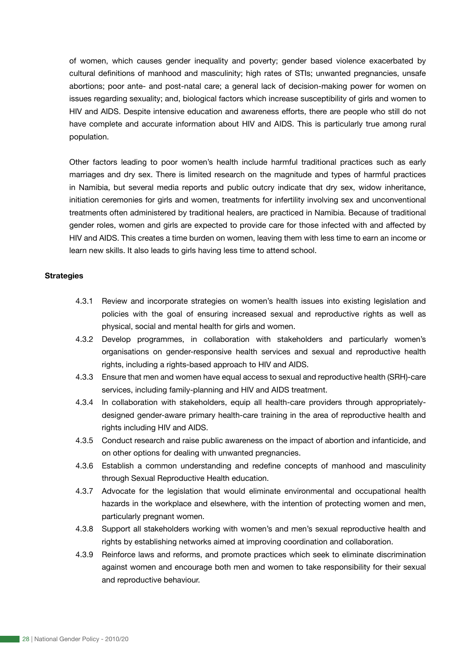of women, which causes gender inequality and poverty; gender based violence exacerbated by cultural definitions of manhood and masculinity; high rates of STIs; unwanted pregnancies, unsafe abortions; poor ante- and post-natal care; a general lack of decision-making power for women on issues regarding sexuality; and, biological factors which increase susceptibility of girls and women to HIV and AIDS. Despite intensive education and awareness efforts, there are people who still do not have complete and accurate information about HIV and AIDS. This is particularly true among rural population.

Other factors leading to poor women's health include harmful traditional practices such as early marriages and dry sex. There is limited research on the magnitude and types of harmful practices in Namibia, but several media reports and public outcry indicate that dry sex, widow inheritance, initiation ceremonies for girls and women, treatments for infertility involving sex and unconventional treatments often administered by traditional healers, are practiced in Namibia. Because of traditional gender roles, women and girls are expected to provide care for those infected with and affected by HIV and AIDS. This creates a time burden on women, leaving them with less time to earn an income or learn new skills. It also leads to girls having less time to attend school.

#### **Strategies**

- 4.3.1 Review and incorporate strategies on women's health issues into existing legislation and policies with the goal of ensuring increased sexual and reproductive rights as well as physical, social and mental health for girls and women.
- 4.3.2 Develop programmes, in collaboration with stakeholders and particularly women's organisations on gender-responsive health services and sexual and reproductive health rights, including a rights-based approach to HIV and AIDS.
- 4.3.3 Ensure that men and women have equal access to sexual and reproductive health (SRH)-care services, including family-planning and HIV and AIDS treatment.
- 4.3.4 In collaboration with stakeholders, equip all health-care providers through appropriatelydesigned gender-aware primary health-care training in the area of reproductive health and rights including HIV and AIDS.
- 4.3.5 Conduct research and raise public awareness on the impact of abortion and infanticide, and on other options for dealing with unwanted pregnancies.
- 4.3.6 Establish a common understanding and redefine concepts of manhood and masculinity through Sexual Reproductive Health education.
- 4.3.7 Advocate for the legislation that would eliminate environmental and occupational health hazards in the workplace and elsewhere, with the intention of protecting women and men, particularly pregnant women.
- 4.3.8 Support all stakeholders working with women's and men's sexual reproductive health and rights by establishing networks aimed at improving coordination and collaboration.
- 4.3.9 Reinforce laws and reforms, and promote practices which seek to eliminate discrimination against women and encourage both men and women to take responsibility for their sexual and reproductive behaviour.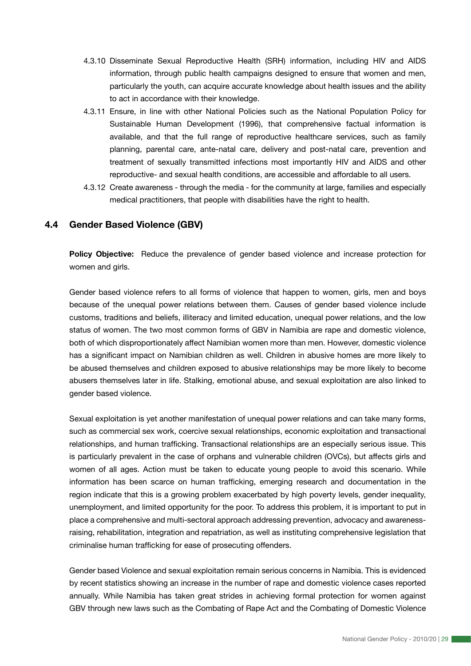- 4.3.10 Disseminate Sexual Reproductive Health (SRH) information, including HIV and AIDS information, through public health campaigns designed to ensure that women and men, particularly the youth, can acquire accurate knowledge about health issues and the ability to act in accordance with their knowledge.
- 4.3.11 Ensure, in line with other National Policies such as the National Population Policy for Sustainable Human Development (1996), that comprehensive factual information is available, and that the full range of reproductive healthcare services, such as family planning, parental care, ante-natal care, delivery and post-natal care, prevention and treatment of sexually transmitted infections most importantly HIV and AIDS and other reproductive- and sexual health conditions, are accessible and affordable to all users.
- 4.3.12 Create awareness through the media for the community at large, families and especially medical practitioners, that people with disabilities have the right to health.

# **4.4 Gender Based Violence (GBV)**

**Policy Objective:** Reduce the prevalence of gender based violence and increase protection for women and girls.

Gender based violence refers to all forms of violence that happen to women, girls, men and boys because of the unequal power relations between them. Causes of gender based violence include customs, traditions and beliefs, illiteracy and limited education, unequal power relations, and the low status of women. The two most common forms of GBV in Namibia are rape and domestic violence, both of which disproportionately affect Namibian women more than men. However, domestic violence has a significant impact on Namibian children as well. Children in abusive homes are more likely to be abused themselves and children exposed to abusive relationships may be more likely to become abusers themselves later in life. Stalking, emotional abuse, and sexual exploitation are also linked to gender based violence.

Sexual exploitation is yet another manifestation of unequal power relations and can take many forms, such as commercial sex work, coercive sexual relationships, economic exploitation and transactional relationships, and human trafficking. Transactional relationships are an especially serious issue. This is particularly prevalent in the case of orphans and vulnerable children (OVCs), but affects girls and women of all ages. Action must be taken to educate young people to avoid this scenario. While information has been scarce on human trafficking, emerging research and documentation in the region indicate that this is a growing problem exacerbated by high poverty levels, gender inequality, unemployment, and limited opportunity for the poor. To address this problem, it is important to put in place a comprehensive and multi-sectoral approach addressing prevention, advocacy and awarenessraising, rehabilitation, integration and repatriation, as well as instituting comprehensive legislation that criminalise human trafficking for ease of prosecuting offenders.

Gender based Violence and sexual exploitation remain serious concerns in Namibia. This is evidenced by recent statistics showing an increase in the number of rape and domestic violence cases reported annually. While Namibia has taken great strides in achieving formal protection for women against GBV through new laws such as the Combating of Rape Act and the Combating of Domestic Violence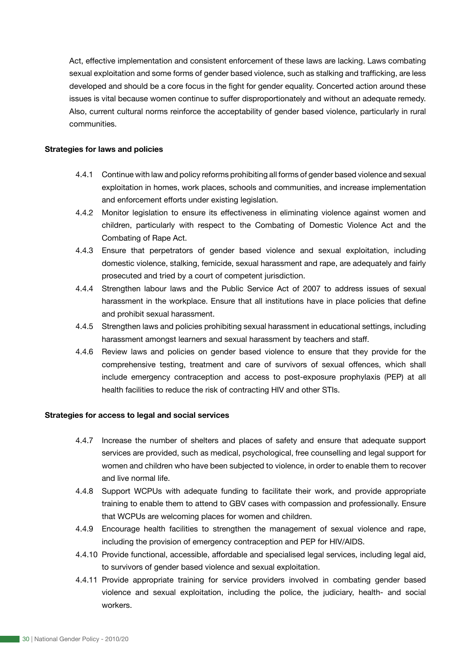Act, effective implementation and consistent enforcement of these laws are lacking. Laws combating sexual exploitation and some forms of gender based violence, such as stalking and trafficking, are less developed and should be a core focus in the fight for gender equality. Concerted action around these issues is vital because women continue to suffer disproportionately and without an adequate remedy. Also, current cultural norms reinforce the acceptability of gender based violence, particularly in rural communities.

#### **Strategies for laws and policies**

- 4.4.1 Continue with law and policy reforms prohibiting all forms of gender based violence and sexual exploitation in homes, work places, schools and communities, and increase implementation and enforcement efforts under existing legislation.
- 4.4.2 Monitor legislation to ensure its effectiveness in eliminating violence against women and children, particularly with respect to the Combating of Domestic Violence Act and the Combating of Rape Act.
- 4.4.3 Ensure that perpetrators of gender based violence and sexual exploitation, including domestic violence, stalking, femicide, sexual harassment and rape, are adequately and fairly prosecuted and tried by a court of competent jurisdiction.
- 4.4.4 Strengthen labour laws and the Public Service Act of 2007 to address issues of sexual harassment in the workplace. Ensure that all institutions have in place policies that define and prohibit sexual harassment.
- 4.4.5 Strengthen laws and policies prohibiting sexual harassment in educational settings, including harassment amongst learners and sexual harassment by teachers and staff.
- 4.4.6 Review laws and policies on gender based violence to ensure that they provide for the comprehensive testing, treatment and care of survivors of sexual offences, which shall include emergency contraception and access to post-exposure prophylaxis (PEP) at all health facilities to reduce the risk of contracting HIV and other STIs.

#### **Strategies for access to legal and social services**

- 4.4.7 Increase the number of shelters and places of safety and ensure that adequate support services are provided, such as medical, psychological, free counselling and legal support for women and children who have been subjected to violence, in order to enable them to recover and live normal life.
- 4.4.8 Support WCPUs with adequate funding to facilitate their work, and provide appropriate training to enable them to attend to GBV cases with compassion and professionally. Ensure that WCPUs are welcoming places for women and children.
- 4.4.9 Encourage health facilities to strengthen the management of sexual violence and rape, including the provision of emergency contraception and PEP for HIV/AIDS.
- 4.4.10 Provide functional, accessible, affordable and specialised legal services, including legal aid, to survivors of gender based violence and sexual exploitation.
- 4.4.11 Provide appropriate training for service providers involved in combating gender based violence and sexual exploitation, including the police, the judiciary, health- and social workers.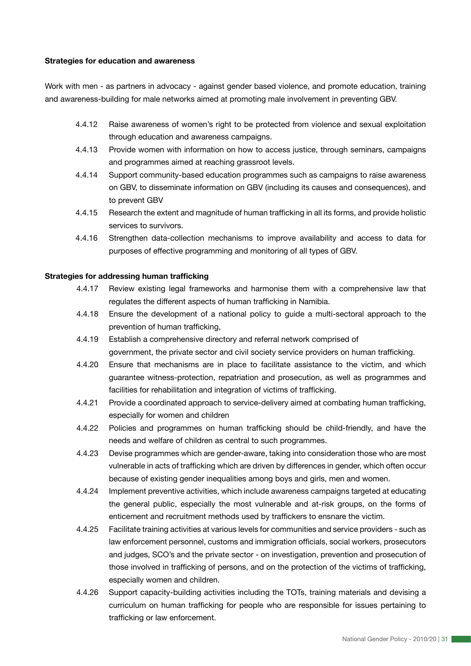#### **Strategies for education and awareness**

Work with men - as partners in advocacy - against gender based violence, and promote education, training and awareness-building for male networks aimed at promoting male involvement in preventing GBV.

- 4.4.12 Raise awareness of women's right to be protected from violence and sexual exploitation through education and awareness campaigns.
- 4.4.13 Provide women with information on how to access justice, through seminars, campaigns and programmes aimed at reaching grassroot levels.
- 4.4.14 Support community-based education programmes such as campaigns to raise awareness on GBV, to disseminate information on GBV (including its causes and consequences), and to prevent GBV
- 4.4.15 Research the extent and magnitude of human trafficking in all its forms, and provide holistic services to survivors.
- 4.4.16 Strengthen data-collection mechanisms to improve availability and access to data for purposes of effective programming and monitoring of all types of GBV.

#### **Strategies for addressing human trafficking**

- 4.4.17 Review existing legal frameworks and harmonise them with a comprehensive law that regulates the different aspects of human trafficking in Namibia.
- 4.4.18 Ensure the development of a national policy to guide a multi-sectoral approach to the prevention of human trafficking,
- 4.4.19 Establish a comprehensive directory and referral network comprised of government, the private sector and civil society service providers on human trafficking.
- 4.4.20 Ensure that mechanisms are in place to facilitate assistance to the victim, and which guarantee witness-protection, repatriation and prosecution, as well as programmes and facilities for rehabilitation and integration of victims of trafficking.
- 4.4.21 Provide a coordinated approach to service-delivery aimed at combating human trafficking, especially for women and children
- 4.4.22 Policies and programmes on human trafficking should be child-friendly, and have the needs and welfare of children as central to such programmes.
- 4.4.23 Devise programmes which are gender-aware, taking into consideration those who are most vulnerable in acts of trafficking which are driven by differences in gender, which often occur because of existing gender inequalities among boys and girls, men and women.
- 4.4.24 Implement preventive activities, which include awareness campaigns targeted at educating the general public, especially the most vulnerable and at-risk groups, on the forms of enticement and recruitment methods used by traffickers to ensnare the victim.
- 4.4.25 Facilitate training activities at various levels for communities and service providers such as law enforcement personnel, customs and immigration officials, social workers, prosecutors and judges, SCO's and the private sector - on investigation, prevention and prosecution of those involved in trafficking of persons, and on the protection of the victims of trafficking, especially women and children.
- 4.4.26 Support capacity-building activities including the TOTs, training materials and devising a curriculum on human trafficking for people who are responsible for issues pertaining to trafficking or law enforcement.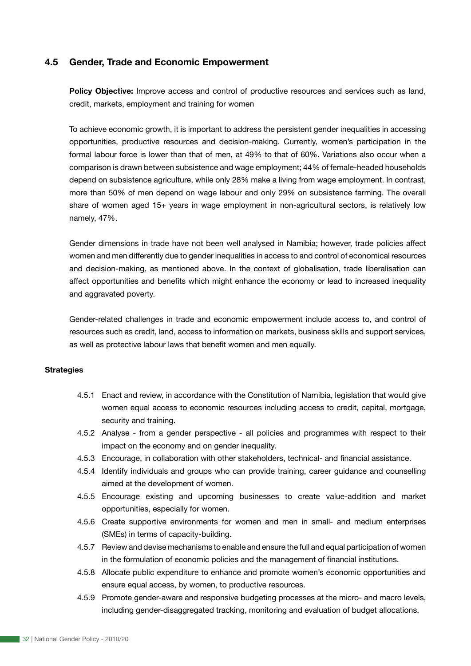### **4.5 Gender, Trade and Economic Empowerment**

**Policy Objective:** Improve access and control of productive resources and services such as land, credit, markets, employment and training for women

To achieve economic growth, it is important to address the persistent gender inequalities in accessing opportunities, productive resources and decision-making. Currently, women's participation in the formal labour force is lower than that of men, at 49% to that of 60%. Variations also occur when a comparison is drawn between subsistence and wage employment; 44% of female-headed households depend on subsistence agriculture, while only 28% make a living from wage employment. In contrast, more than 50% of men depend on wage labour and only 29% on subsistence farming. The overall share of women aged 15+ years in wage employment in non-agricultural sectors, is relatively low namely, 47%.

Gender dimensions in trade have not been well analysed in Namibia; however, trade policies affect women and men differently due to gender inequalities in access to and control of economical resources and decision-making, as mentioned above. In the context of globalisation, trade liberalisation can affect opportunities and benefits which might enhance the economy or lead to increased inequality and aggravated poverty.

Gender-related challenges in trade and economic empowerment include access to, and control of resources such as credit, land, access to information on markets, business skills and support services, as well as protective labour laws that benefit women and men equally.

#### **Strategies**

- 4.5.1 Enact and review, in accordance with the Constitution of Namibia, legislation that would give women equal access to economic resources including access to credit, capital, mortgage, security and training.
- 4.5.2 Analyse from a gender perspective all policies and programmes with respect to their impact on the economy and on gender inequality.
- 4.5.3 Encourage, in collaboration with other stakeholders, technical- and financial assistance.
- 4.5.4 Identify individuals and groups who can provide training, career guidance and counselling aimed at the development of women.
- 4.5.5 Encourage existing and upcoming businesses to create value-addition and market opportunities, especially for women.
- 4.5.6 Create supportive environments for women and men in small- and medium enterprises (SMEs) in terms of capacity-building.
- 4.5.7 Review and devise mechanisms to enable and ensure the full and equal participation of women in the formulation of economic policies and the management of financial institutions.
- 4.5.8 Allocate public expenditure to enhance and promote women's economic opportunities and ensure equal access, by women, to productive resources.
- 4.5.9 Promote gender-aware and responsive budgeting processes at the micro- and macro levels, including gender-disaggregated tracking, monitoring and evaluation of budget allocations.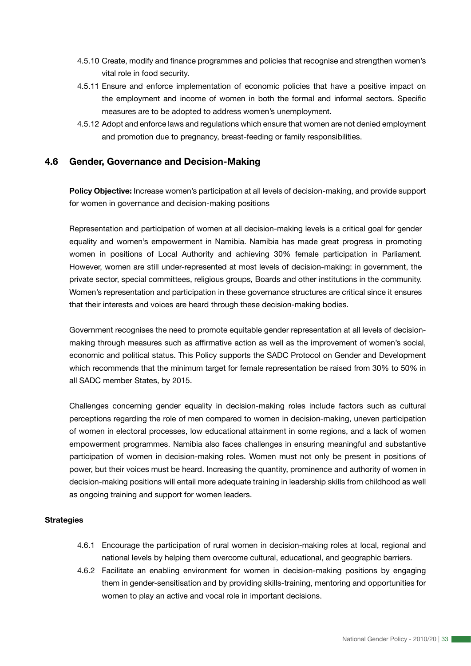- 4.5.10 Create, modify and finance programmes and policies that recognise and strengthen women's vital role in food security.
- 4.5.11 Ensure and enforce implementation of economic policies that have a positive impact on the employment and income of women in both the formal and informal sectors. Specific measures are to be adopted to address women's unemployment.
- 4.5.12 Adopt and enforce laws and regulations which ensure that women are not denied employment and promotion due to pregnancy, breast-feeding or family responsibilities.

## **4.6 Gender, Governance and Decision-Making**

**Policy Objective:** Increase women's participation at all levels of decision-making, and provide support for women in governance and decision-making positions

Representation and participation of women at all decision-making levels is a critical goal for gender equality and women's empowerment in Namibia. Namibia has made great progress in promoting women in positions of Local Authority and achieving 30% female participation in Parliament. However, women are still under-represented at most levels of decision-making: in government, the private sector, special committees, religious groups, Boards and other institutions in the community. Women's representation and participation in these governance structures are critical since it ensures that their interests and voices are heard through these decision-making bodies.

Government recognises the need to promote equitable gender representation at all levels of decisionmaking through measures such as affirmative action as well as the improvement of women's social, economic and political status. This Policy supports the SADC Protocol on Gender and Development which recommends that the minimum target for female representation be raised from 30% to 50% in all SADC member States, by 2015.

Challenges concerning gender equality in decision-making roles include factors such as cultural perceptions regarding the role of men compared to women in decision-making, uneven participation of women in electoral processes, low educational attainment in some regions, and a lack of women empowerment programmes. Namibia also faces challenges in ensuring meaningful and substantive participation of women in decision-making roles. Women must not only be present in positions of power, but their voices must be heard. Increasing the quantity, prominence and authority of women in decision-making positions will entail more adequate training in leadership skills from childhood as well as ongoing training and support for women leaders.

#### **Strategies**

- 4.6.1 Encourage the participation of rural women in decision-making roles at local, regional and national levels by helping them overcome cultural, educational, and geographic barriers.
- 4.6.2 Facilitate an enabling environment for women in decision-making positions by engaging them in gender-sensitisation and by providing skills-training, mentoring and opportunities for women to play an active and vocal role in important decisions.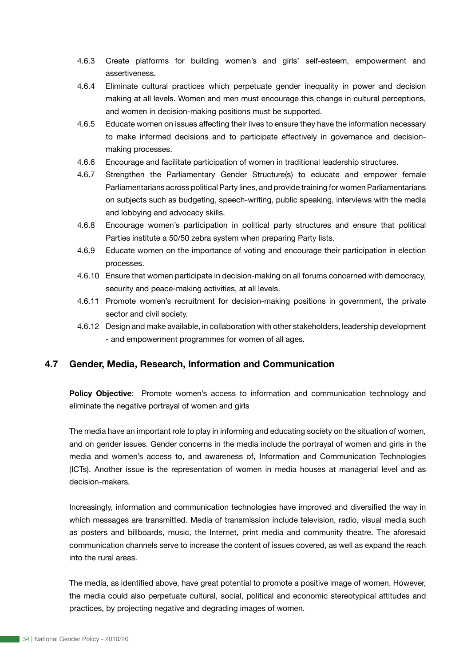- 4.6.3 Create platforms for building women's and girls' self-esteem, empowerment and assertiveness.
- 4.6.4 Eliminate cultural practices which perpetuate gender inequality in power and decision making at all levels. Women and men must encourage this change in cultural perceptions, and women in decision-making positions must be supported.
- 4.6.5 Educate women on issues affecting their lives to ensure they have the information necessary to make informed decisions and to participate effectively in governance and decisionmaking processes.
- 4.6.6 Encourage and facilitate participation of women in traditional leadership structures.
- 4.6.7 Strengthen the Parliamentary Gender Structure(s) to educate and empower female Parliamentarians across political Party lines, and provide training for women Parliamentarians on subjects such as budgeting, speech-writing, public speaking, interviews with the media and lobbying and advocacy skills.
- 4.6.8 Encourage women's participation in political party structures and ensure that political Parties institute a 50/50 zebra system when preparing Party lists.
- 4.6.9 Educate women on the importance of voting and encourage their participation in election processes.
- 4.6.10 Ensure that women participate in decision-making on all forums concerned with democracy, security and peace-making activities, at all levels.
- 4.6.11 Promote women's recruitment for decision-making positions in government, the private sector and civil society.
- 4.6.12 Design and make available, in collaboration with other stakeholders, leadership development - and empowerment programmes for women of all ages.

# **4.7 Gender, Media, Research, Information and Communication**

Policy Objective: Promote women's access to information and communication technology and eliminate the negative portrayal of women and girls

The media have an important role to play in informing and educating society on the situation of women, and on gender issues. Gender concerns in the media include the portrayal of women and girls in the media and women's access to, and awareness of, Information and Communication Technologies (ICTs). Another issue is the representation of women in media houses at managerial level and as decision-makers.

Increasingly, information and communication technologies have improved and diversified the way in which messages are transmitted. Media of transmission include television, radio, visual media such as posters and billboards, music, the Internet, print media and community theatre. The aforesaid communication channels serve to increase the content of issues covered, as well as expand the reach into the rural areas.

The media, as identified above, have great potential to promote a positive image of women. However, the media could also perpetuate cultural, social, political and economic stereotypical attitudes and practices, by projecting negative and degrading images of women.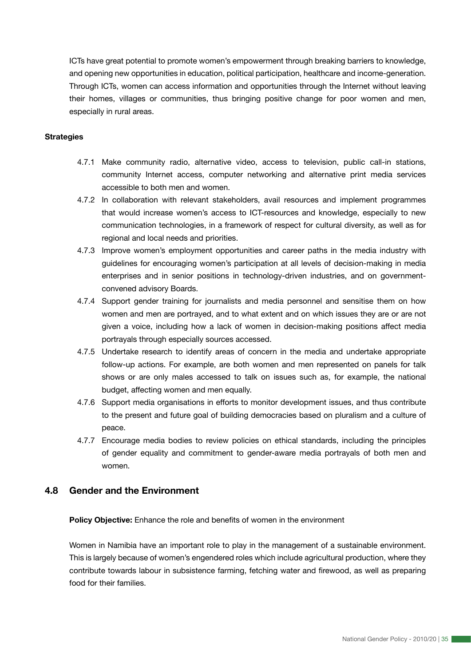ICTs have great potential to promote women's empowerment through breaking barriers to knowledge, and opening new opportunities in education, political participation, healthcare and income-generation. Through ICTs, women can access information and opportunities through the Internet without leaving their homes, villages or communities, thus bringing positive change for poor women and men, especially in rural areas.

#### **Strategies**

- 4.7.1 Make community radio, alternative video, access to television, public call-in stations, community Internet access, computer networking and alternative print media services accessible to both men and women.
- 4.7.2 In collaboration with relevant stakeholders, avail resources and implement programmes that would increase women's access to ICT-resources and knowledge, especially to new communication technologies, in a framework of respect for cultural diversity, as well as for regional and local needs and priorities.
- 4.7.3 Improve women's employment opportunities and career paths in the media industry with guidelines for encouraging women's participation at all levels of decision-making in media enterprises and in senior positions in technology-driven industries, and on governmentconvened advisory Boards.
- 4.7.4 Support gender training for journalists and media personnel and sensitise them on how women and men are portrayed, and to what extent and on which issues they are or are not given a voice, including how a lack of women in decision-making positions affect media portrayals through especially sources accessed.
- 4.7.5 Undertake research to identify areas of concern in the media and undertake appropriate follow-up actions. For example, are both women and men represented on panels for talk shows or are only males accessed to talk on issues such as, for example, the national budget, affecting women and men equally.
- 4.7.6 Support media organisations in efforts to monitor development issues, and thus contribute to the present and future goal of building democracies based on pluralism and a culture of peace.
- 4.7.7 Encourage media bodies to review policies on ethical standards, including the principles of gender equality and commitment to gender-aware media portrayals of both men and women.

### **4.8 Gender and the Environment**

**Policy Objective:** Enhance the role and benefits of women in the environment

Women in Namibia have an important role to play in the management of a sustainable environment. This is largely because of women's engendered roles which include agricultural production, where they contribute towards labour in subsistence farming, fetching water and firewood, as well as preparing food for their families.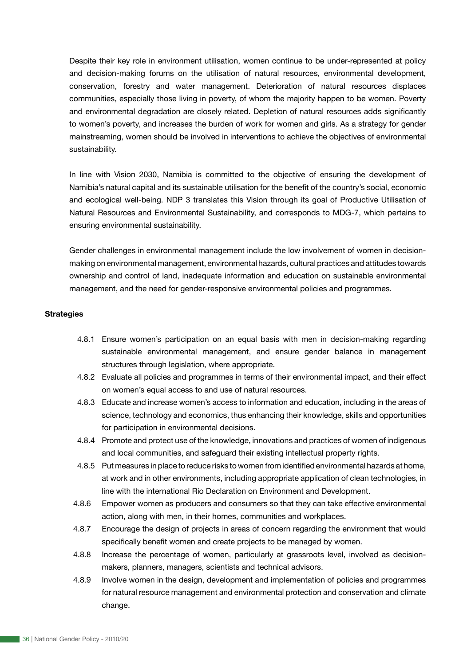Despite their key role in environment utilisation, women continue to be under-represented at policy and decision-making forums on the utilisation of natural resources, environmental development, conservation, forestry and water management. Deterioration of natural resources displaces communities, especially those living in poverty, of whom the majority happen to be women. Poverty and environmental degradation are closely related. Depletion of natural resources adds significantly to women's poverty, and increases the burden of work for women and girls. As a strategy for gender mainstreaming, women should be involved in interventions to achieve the objectives of environmental sustainability.

In line with Vision 2030, Namibia is committed to the objective of ensuring the development of Namibia's natural capital and its sustainable utilisation for the benefit of the country's social, economic and ecological well-being. NDP 3 translates this Vision through its goal of Productive Utilisation of Natural Resources and Environmental Sustainability, and corresponds to MDG-7, which pertains to ensuring environmental sustainability.

Gender challenges in environmental management include the low involvement of women in decisionmaking on environmental management, environmental hazards, cultural practices and attitudes towards ownership and control of land, inadequate information and education on sustainable environmental management, and the need for gender-responsive environmental policies and programmes.

#### **Strategies**

- 4.8.1 Ensure women's participation on an equal basis with men in decision-making regarding sustainable environmental management, and ensure gender balance in management structures through legislation, where appropriate.
- 4.8.2 Evaluate all policies and programmes in terms of their environmental impact, and their effect on women's equal access to and use of natural resources.
- 4.8.3 Educate and increase women's access to information and education, including in the areas of science, technology and economics, thus enhancing their knowledge, skills and opportunities for participation in environmental decisions.
- 4.8.4 Promote and protect use of the knowledge, innovations and practices of women of indigenous and local communities, and safeguard their existing intellectual property rights.
- 4.8.5 Put measures in place to reduce risks to women from identified environmental hazards at home, at work and in other environments, including appropriate application of clean technologies, in line with the international Rio Declaration on Environment and Development.
- 4.8.6 Empower women as producers and consumers so that they can take effective environmental action, along with men, in their homes, communities and workplaces.
- 4.8.7 Encourage the design of projects in areas of concern regarding the environment that would specifically benefit women and create projects to be managed by women.
- 4.8.8 Increase the percentage of women, particularly at grassroots level, involved as decisionmakers, planners, managers, scientists and technical advisors.
- 4.8.9 Involve women in the design, development and implementation of policies and programmes for natural resource management and environmental protection and conservation and climate change.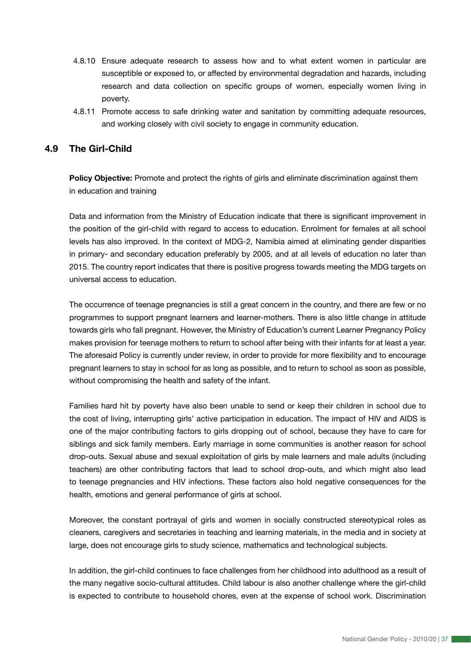- 4.8.10 Ensure adequate research to assess how and to what extent women in particular are susceptible or exposed to, or affected by environmental degradation and hazards, including research and data collection on specific groups of women, especially women living in poverty.
- 4.8.11 Promote access to safe drinking water and sanitation by committing adequate resources, and working closely with civil society to engage in community education.

# **4.9 The Girl-Child**

**Policy Objective:** Promote and protect the rights of girls and eliminate discrimination against them in education and training

Data and information from the Ministry of Education indicate that there is significant improvement in the position of the girl-child with regard to access to education. Enrolment for females at all school levels has also improved. In the context of MDG-2, Namibia aimed at eliminating gender disparities in primary- and secondary education preferably by 2005, and at all levels of education no later than 2015. The country report indicates that there is positive progress towards meeting the MDG targets on universal access to education.

The occurrence of teenage pregnancies is still a great concern in the country, and there are few or no programmes to support pregnant learners and learner-mothers. There is also little change in attitude towards girls who fall pregnant. However, the Ministry of Education's current Learner Pregnancy Policy makes provision for teenage mothers to return to school after being with their infants for at least a year. The aforesaid Policy is currently under review, in order to provide for more flexibility and to encourage pregnant learners to stay in school for as long as possible, and to return to school as soon as possible, without compromising the health and safety of the infant.

Families hard hit by poverty have also been unable to send or keep their children in school due to the cost of living, interrupting girls' active participation in education. The impact of HIV and AIDS is one of the major contributing factors to girls dropping out of school, because they have to care for siblings and sick family members. Early marriage in some communities is another reason for school drop-outs. Sexual abuse and sexual exploitation of girls by male learners and male adults (including teachers) are other contributing factors that lead to school drop-outs, and which might also lead to teenage pregnancies and HIV infections. These factors also hold negative consequences for the health, emotions and general performance of girls at school.

Moreover, the constant portrayal of girls and women in socially constructed stereotypical roles as cleaners, caregivers and secretaries in teaching and learning materials, in the media and in society at large, does not encourage girls to study science, mathematics and technological subjects.

In addition, the girl-child continues to face challenges from her childhood into adulthood as a result of the many negative socio-cultural attitudes. Child labour is also another challenge where the girl-child is expected to contribute to household chores, even at the expense of school work. Discrimination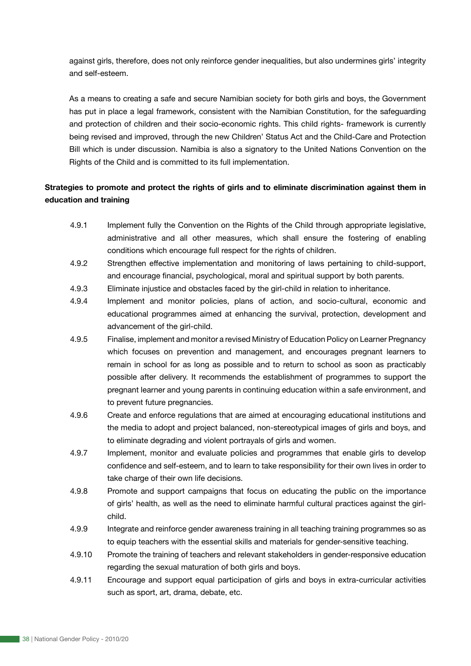against girls, therefore, does not only reinforce gender inequalities, but also undermines girls' integrity and self-esteem.

As a means to creating a safe and secure Namibian society for both girls and boys, the Government has put in place a legal framework, consistent with the Namibian Constitution, for the safeguarding and protection of children and their socio-economic rights. This child rights- framework is currently being revised and improved, through the new Children' Status Act and the Child-Care and Protection Bill which is under discussion. Namibia is also a signatory to the United Nations Convention on the Rights of the Child and is committed to its full implementation.

# **Strategies to promote and protect the rights of girls and to eliminate discrimination against them in education and training**

- 4.9.1 Implement fully the Convention on the Rights of the Child through appropriate legislative, administrative and all other measures, which shall ensure the fostering of enabling conditions which encourage full respect for the rights of children.
- 4.9.2 Strengthen effective implementation and monitoring of laws pertaining to child-support, and encourage financial, psychological, moral and spiritual support by both parents.
- 4.9.3 Eliminate injustice and obstacles faced by the girl-child in relation to inheritance.
- 4.9.4 Implement and monitor policies, plans of action, and socio-cultural, economic and educational programmes aimed at enhancing the survival, protection, development and advancement of the girl-child.
- 4.9.5 Finalise, implement and monitor a revised Ministry of Education Policy on Learner Pregnancy which focuses on prevention and management, and encourages pregnant learners to remain in school for as long as possible and to return to school as soon as practicably possible after delivery. It recommends the establishment of programmes to support the pregnant learner and young parents in continuing education within a safe environment, and to prevent future pregnancies.
- 4.9.6 Create and enforce regulations that are aimed at encouraging educational institutions and the media to adopt and project balanced, non-stereotypical images of girls and boys, and to eliminate degrading and violent portrayals of girls and women.
- 4.9.7 Implement, monitor and evaluate policies and programmes that enable girls to develop confidence and self-esteem, and to learn to take responsibility for their own lives in order to take charge of their own life decisions.
- 4.9.8 Promote and support campaigns that focus on educating the public on the importance of girls' health, as well as the need to eliminate harmful cultural practices against the girlchild.
- 4.9.9 Integrate and reinforce gender awareness training in all teaching training programmes so as to equip teachers with the essential skills and materials for gender-sensitive teaching.
- 4.9.10 Promote the training of teachers and relevant stakeholders in gender-responsive education regarding the sexual maturation of both girls and boys.
- 4.9.11 Encourage and support equal participation of girls and boys in extra-curricular activities such as sport, art, drama, debate, etc.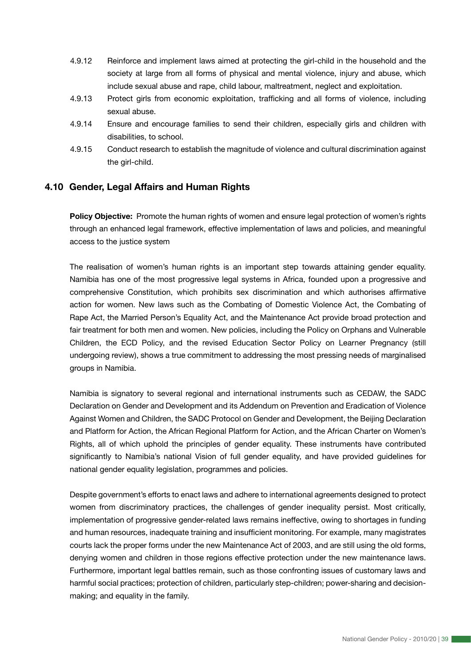- 4.9.12 Reinforce and implement laws aimed at protecting the girl-child in the household and the society at large from all forms of physical and mental violence, injury and abuse, which include sexual abuse and rape, child labour, maltreatment, neglect and exploitation.
- 4.9.13 Protect girls from economic exploitation, trafficking and all forms of violence, including sexual abuse.
- 4.9.14 Ensure and encourage families to send their children, especially girls and children with disabilities, to school.
- 4.9.15 Conduct research to establish the magnitude of violence and cultural discrimination against the girl-child.

# **4.10 Gender, Legal Affairs and Human Rights**

**Policy Objective:** Promote the human rights of women and ensure legal protection of women's rights through an enhanced legal framework, effective implementation of laws and policies, and meaningful access to the justice system

The realisation of women's human rights is an important step towards attaining gender equality. Namibia has one of the most progressive legal systems in Africa, founded upon a progressive and comprehensive Constitution, which prohibits sex discrimination and which authorises affirmative action for women. New laws such as the Combating of Domestic Violence Act, the Combating of Rape Act, the Married Person's Equality Act, and the Maintenance Act provide broad protection and fair treatment for both men and women. New policies, including the Policy on Orphans and Vulnerable Children, the ECD Policy, and the revised Education Sector Policy on Learner Pregnancy (still undergoing review), shows a true commitment to addressing the most pressing needs of marginalised groups in Namibia.

Namibia is signatory to several regional and international instruments such as CEDAW, the SADC Declaration on Gender and Development and its Addendum on Prevention and Eradication of Violence Against Women and Children, the SADC Protocol on Gender and Development, the Beijing Declaration and Platform for Action, the African Regional Platform for Action, and the African Charter on Women's Rights, all of which uphold the principles of gender equality. These instruments have contributed significantly to Namibia's national Vision of full gender equality, and have provided guidelines for national gender equality legislation, programmes and policies.

Despite government's efforts to enact laws and adhere to international agreements designed to protect women from discriminatory practices, the challenges of gender inequality persist. Most critically, implementation of progressive gender-related laws remains ineffective, owing to shortages in funding and human resources, inadequate training and insufficient monitoring. For example, many magistrates courts lack the proper forms under the new Maintenance Act of 2003, and are still using the old forms, denying women and children in those regions effective protection under the new maintenance laws. Furthermore, important legal battles remain, such as those confronting issues of customary laws and harmful social practices; protection of children, particularly step-children; power-sharing and decisionmaking; and equality in the family.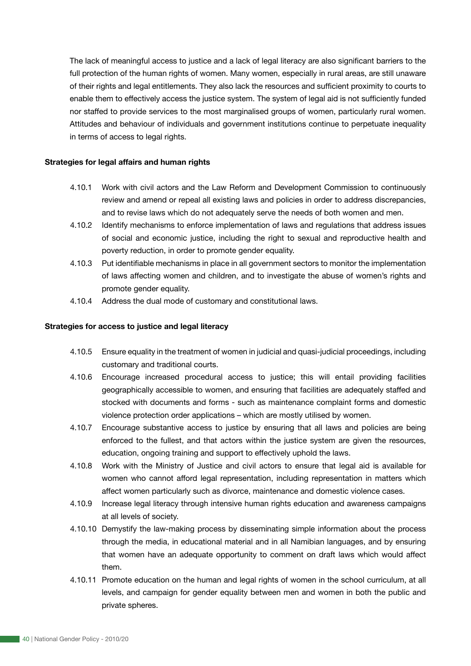The lack of meaningful access to justice and a lack of legal literacy are also significant barriers to the full protection of the human rights of women. Many women, especially in rural areas, are still unaware of their rights and legal entitlements. They also lack the resources and sufficient proximity to courts to enable them to effectively access the justice system. The system of legal aid is not sufficiently funded nor staffed to provide services to the most marginalised groups of women, particularly rural women. Attitudes and behaviour of individuals and government institutions continue to perpetuate inequality in terms of access to legal rights.

#### **Strategies for legal affairs and human rights**

- 4.10.1 Work with civil actors and the Law Reform and Development Commission to continuously review and amend or repeal all existing laws and policies in order to address discrepancies, and to revise laws which do not adequately serve the needs of both women and men.
- 4.10.2 Identify mechanisms to enforce implementation of laws and regulations that address issues of social and economic justice, including the right to sexual and reproductive health and poverty reduction, in order to promote gender equality.
- 4.10.3 Put identifiable mechanisms in place in all government sectors to monitor the implementation of laws affecting women and children, and to investigate the abuse of women's rights and promote gender equality.
- 4.10.4 Address the dual mode of customary and constitutional laws.

#### **Strategies for access to justice and legal literacy**

- 4.10.5 Ensure equality in the treatment of women in judicial and quasi-judicial proceedings, including customary and traditional courts.
- 4.10.6 Encourage increased procedural access to justice; this will entail providing facilities geographically accessible to women, and ensuring that facilities are adequately staffed and stocked with documents and forms - such as maintenance complaint forms and domestic violence protection order applications – which are mostly utilised by women.
- 4.10.7 Encourage substantive access to justice by ensuring that all laws and policies are being enforced to the fullest, and that actors within the justice system are given the resources, education, ongoing training and support to effectively uphold the laws.
- 4.10.8 Work with the Ministry of Justice and civil actors to ensure that legal aid is available for women who cannot afford legal representation, including representation in matters which affect women particularly such as divorce, maintenance and domestic violence cases.
- 4.10.9 Increase legal literacy through intensive human rights education and awareness campaigns at all levels of society.
- 4.10.10 Demystify the law-making process by disseminating simple information about the process through the media, in educational material and in all Namibian languages, and by ensuring that women have an adequate opportunity to comment on draft laws which would affect them.
- 4.10.11 Promote education on the human and legal rights of women in the school curriculum, at all levels, and campaign for gender equality between men and women in both the public and private spheres.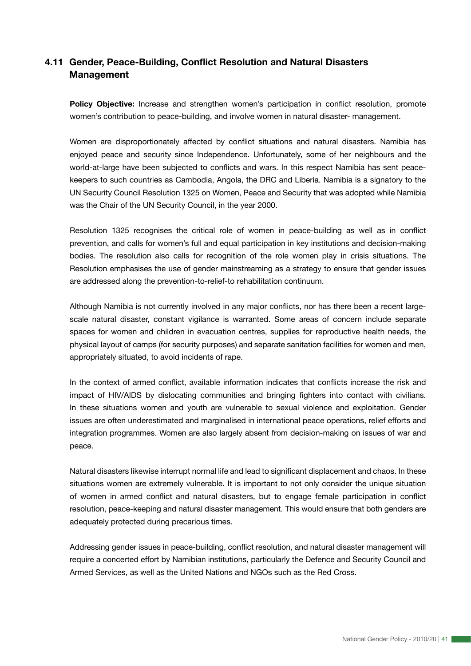# **4.11 Gender, Peace-Building, Conflict Resolution and Natural Disasters Management**

**Policy Objective:** Increase and strengthen women's participation in conflict resolution, promote women's contribution to peace-building, and involve women in natural disaster- management.

Women are disproportionately affected by conflict situations and natural disasters. Namibia has enjoyed peace and security since Independence. Unfortunately, some of her neighbours and the world-at-large have been subjected to conflicts and wars. In this respect Namibia has sent peacekeepers to such countries as Cambodia, Angola, the DRC and Liberia. Namibia is a signatory to the UN Security Council Resolution 1325 on Women, Peace and Security that was adopted while Namibia was the Chair of the UN Security Council, in the year 2000.

Resolution 1325 recognises the critical role of women in peace-building as well as in conflict prevention, and calls for women's full and equal participation in key institutions and decision-making bodies. The resolution also calls for recognition of the role women play in crisis situations. The Resolution emphasises the use of gender mainstreaming as a strategy to ensure that gender issues are addressed along the prevention-to-relief-to rehabilitation continuum.

Although Namibia is not currently involved in any major conflicts, nor has there been a recent largescale natural disaster, constant vigilance is warranted. Some areas of concern include separate spaces for women and children in evacuation centres, supplies for reproductive health needs, the physical layout of camps (for security purposes) and separate sanitation facilities for women and men, appropriately situated, to avoid incidents of rape.

In the context of armed conflict, available information indicates that conflicts increase the risk and impact of HIV/AIDS by dislocating communities and bringing fighters into contact with civilians. In these situations women and youth are vulnerable to sexual violence and exploitation. Gender issues are often underestimated and marginalised in international peace operations, relief efforts and integration programmes. Women are also largely absent from decision-making on issues of war and peace.

Natural disasters likewise interrupt normal life and lead to significant displacement and chaos. In these situations women are extremely vulnerable. It is important to not only consider the unique situation of women in armed conflict and natural disasters, but to engage female participation in conflict resolution, peace-keeping and natural disaster management. This would ensure that both genders are adequately protected during precarious times.

Addressing gender issues in peace-building, conflict resolution, and natural disaster management will require a concerted effort by Namibian institutions, particularly the Defence and Security Council and Armed Services, as well as the United Nations and NGOs such as the Red Cross.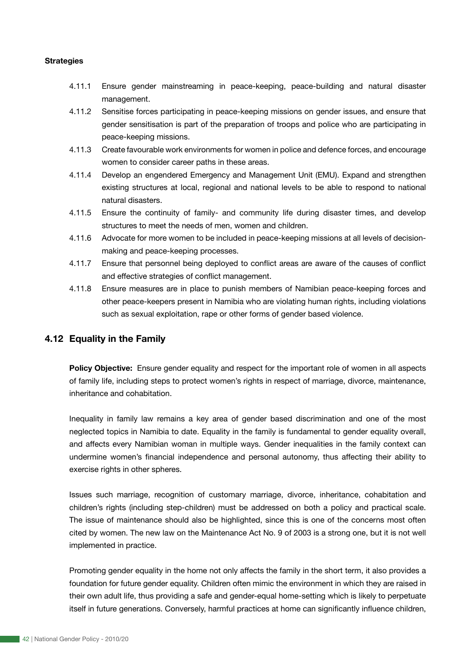#### **Strategies**

- 4.11.1 Ensure gender mainstreaming in peace-keeping, peace-building and natural disaster management.
- 4.11.2 Sensitise forces participating in peace-keeping missions on gender issues, and ensure that gender sensitisation is part of the preparation of troops and police who are participating in peace-keeping missions.
- 4.11.3 Create favourable work environments for women in police and defence forces, and encourage women to consider career paths in these areas.
- 4.11.4 Develop an engendered Emergency and Management Unit (EMU). Expand and strengthen existing structures at local, regional and national levels to be able to respond to national natural disasters.
- 4.11.5 Ensure the continuity of family- and community life during disaster times, and develop structures to meet the needs of men, women and children.
- 4.11.6 Advocate for more women to be included in peace-keeping missions at all levels of decisionmaking and peace-keeping processes.
- 4.11.7 Ensure that personnel being deployed to conflict areas are aware of the causes of conflict and effective strategies of conflict management.
- 4.11.8 Ensure measures are in place to punish members of Namibian peace-keeping forces and other peace-keepers present in Namibia who are violating human rights, including violations such as sexual exploitation, rape or other forms of gender based violence.

# **4.12 Equality in the Family**

**Policy Objective:** Ensure gender equality and respect for the important role of women in all aspects of family life, including steps to protect women's rights in respect of marriage, divorce, maintenance, inheritance and cohabitation.

Inequality in family law remains a key area of gender based discrimination and one of the most neglected topics in Namibia to date. Equality in the family is fundamental to gender equality overall, and affects every Namibian woman in multiple ways. Gender inequalities in the family context can undermine women's financial independence and personal autonomy, thus affecting their ability to exercise rights in other spheres.

Issues such marriage, recognition of customary marriage, divorce, inheritance, cohabitation and children's rights (including step-children) must be addressed on both a policy and practical scale. The issue of maintenance should also be highlighted, since this is one of the concerns most often cited by women. The new law on the Maintenance Act No. 9 of 2003 is a strong one, but it is not well implemented in practice.

Promoting gender equality in the home not only affects the family in the short term, it also provides a foundation for future gender equality. Children often mimic the environment in which they are raised in their own adult life, thus providing a safe and gender-equal home-setting which is likely to perpetuate itself in future generations. Conversely, harmful practices at home can significantly influence children,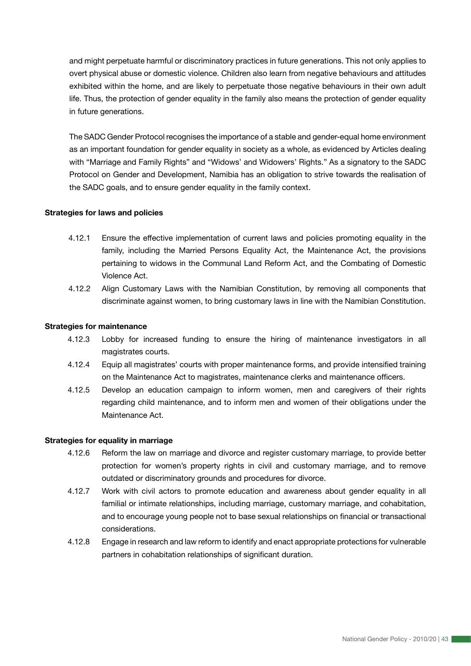and might perpetuate harmful or discriminatory practices in future generations. This not only applies to overt physical abuse or domestic violence. Children also learn from negative behaviours and attitudes exhibited within the home, and are likely to perpetuate those negative behaviours in their own adult life. Thus, the protection of gender equality in the family also means the protection of gender equality in future generations.

The SADC Gender Protocol recognises the importance of a stable and gender-equal home environment as an important foundation for gender equality in society as a whole, as evidenced by Articles dealing with "Marriage and Family Rights" and "Widows' and Widowers' Rights." As a signatory to the SADC Protocol on Gender and Development, Namibia has an obligation to strive towards the realisation of the SADC goals, and to ensure gender equality in the family context.

#### **Strategies for laws and policies**

- 4.12.1 Ensure the effective implementation of current laws and policies promoting equality in the family, including the Married Persons Equality Act, the Maintenance Act, the provisions pertaining to widows in the Communal Land Reform Act, and the Combating of Domestic Violence Act.
- 4.12.2 Align Customary Laws with the Namibian Constitution, by removing all components that discriminate against women, to bring customary laws in line with the Namibian Constitution.

#### **Strategies for maintenance**

- 4.12.3 Lobby for increased funding to ensure the hiring of maintenance investigators in all magistrates courts.
- 4.12.4 Equip all magistrates' courts with proper maintenance forms, and provide intensified training on the Maintenance Act to magistrates, maintenance clerks and maintenance officers.
- 4.12.5 Develop an education campaign to inform women, men and caregivers of their rights regarding child maintenance, and to inform men and women of their obligations under the Maintenance Act.

#### **Strategies for equality in marriage**

- 4.12.6 Reform the law on marriage and divorce and register customary marriage, to provide better protection for women's property rights in civil and customary marriage, and to remove outdated or discriminatory grounds and procedures for divorce.
- 4.12.7 Work with civil actors to promote education and awareness about gender equality in all familial or intimate relationships, including marriage, customary marriage, and cohabitation, and to encourage young people not to base sexual relationships on financial or transactional considerations.
- 4.12.8 Engage in research and law reform to identify and enact appropriate protections for vulnerable partners in cohabitation relationships of significant duration.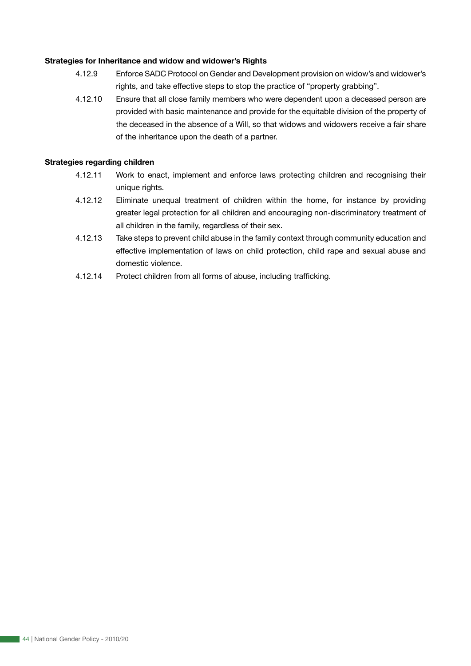#### **Strategies for Inheritance and widow and widower's Rights**

- 4.12.9 Enforce SADC Protocol on Gender and Development provision on widow's and widower's rights, and take effective steps to stop the practice of "property grabbing".
- 4.12.10 Ensure that all close family members who were dependent upon a deceased person are provided with basic maintenance and provide for the equitable division of the property of the deceased in the absence of a Will, so that widows and widowers receive a fair share of the inheritance upon the death of a partner.

#### **Strategies regarding children**

- 4.12.11 Work to enact, implement and enforce laws protecting children and recognising their unique rights.
- 4.12.12 Eliminate unequal treatment of children within the home, for instance by providing greater legal protection for all children and encouraging non-discriminatory treatment of all children in the family, regardless of their sex.
- 4.12.13 Take steps to prevent child abuse in the family context through community education and effective implementation of laws on child protection, child rape and sexual abuse and domestic violence.
- 4.12.14 Protect children from all forms of abuse, including trafficking.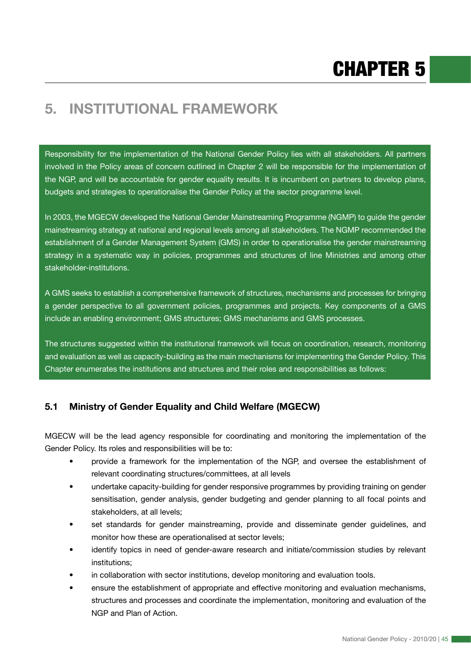# **5. INSTITUTIONAL FRAMEWORK**

Responsibility for the implementation of the National Gender Policy lies with all stakeholders. All partners involved in the Policy areas of concern outlined in Chapter 2 will be responsible for the implementation of the NGP, and will be accountable for gender equality results. It is incumbent on partners to develop plans, budgets and strategies to operationalise the Gender Policy at the sector programme level.

In 2003, the MGECW developed the National Gender Mainstreaming Programme (NGMP) to guide the gender mainstreaming strategy at national and regional levels among all stakeholders. The NGMP recommended the establishment of a Gender Management System (GMS) in order to operationalise the gender mainstreaming strategy in a systematic way in policies, programmes and structures of line Ministries and among other stakeholder-institutions.

A GMS seeks to establish a comprehensive framework of structures, mechanisms and processes for bringing a gender perspective to all government policies, programmes and projects. Key components of a GMS include an enabling environment; GMS structures; GMS mechanisms and GMS processes.

The structures suggested within the institutional framework will focus on coordination, research, monitoring and evaluation as well as capacity-building as the main mechanisms for implementing the Gender Policy. This Chapter enumerates the institutions and structures and their roles and responsibilities as follows:

# **5.1 Ministry of Gender Equality and Child Welfare (MGECW)**

MGECW will be the lead agency responsible for coordinating and monitoring the implementation of the Gender Policy. Its roles and responsibilities will be to:

- provide a framework for the implementation of the NGP, and oversee the establishment of relevant coordinating structures/committees, at all levels
- undertake capacity-building for gender responsive programmes by providing training on gender sensitisation, gender analysis, gender budgeting and gender planning to all focal points and stakeholders, at all levels;
- set standards for gender mainstreaming, provide and disseminate gender guidelines, and monitor how these are operationalised at sector levels;
- identify topics in need of gender-aware research and initiate/commission studies by relevant institutions;
- in collaboration with sector institutions, develop monitoring and evaluation tools.
- ensure the establishment of appropriate and effective monitoring and evaluation mechanisms, structures and processes and coordinate the implementation, monitoring and evaluation of the NGP and Plan of Action.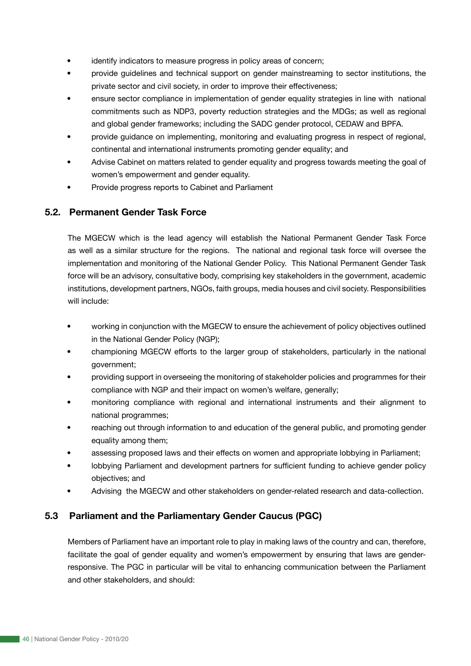- identify indicators to measure progress in policy areas of concern;
- provide guidelines and technical support on gender mainstreaming to sector institutions, the private sector and civil society, in order to improve their effectiveness;
- ensure sector compliance in implementation of gender equality strategies in line with national commitments such as NDP3, poverty reduction strategies and the MDGs; as well as regional and global gender frameworks; including the SADC gender protocol, CEDAW and BPFA.
- provide guidance on implementing, monitoring and evaluating progress in respect of regional, continental and international instruments promoting gender equality; and
- Advise Cabinet on matters related to gender equality and progress towards meeting the goal of women's empowerment and gender equality.
- Provide progress reports to Cabinet and Parliament

# **5.2. Permanent Gender Task Force**

The MGECW which is the lead agency will establish the National Permanent Gender Task Force as well as a similar structure for the regions. The national and regional task force will oversee the implementation and monitoring of the National Gender Policy. This National Permanent Gender Task force will be an advisory, consultative body, comprising key stakeholders in the government, academic institutions, development partners, NGOs, faith groups, media houses and civil society. Responsibilities will include:

- working in conjunction with the MGECW to ensure the achievement of policy objectives outlined in the National Gender Policy (NGP);
- championing MGECW efforts to the larger group of stakeholders, particularly in the national government;
- providing support in overseeing the monitoring of stakeholder policies and programmes for their compliance with NGP and their impact on women's welfare, generally;
- monitoring compliance with regional and international instruments and their alignment to national programmes;
- reaching out through information to and education of the general public, and promoting gender equality among them;
- assessing proposed laws and their effects on women and appropriate lobbying in Parliament;
- lobbying Parliament and development partners for sufficient funding to achieve gender policy objectives; and
- Advising the MGECW and other stakeholders on gender-related research and data-collection.

# **5.3 Parliament and the Parliamentary Gender Caucus (PGC)**

Members of Parliament have an important role to play in making laws of the country and can, therefore, facilitate the goal of gender equality and women's empowerment by ensuring that laws are genderresponsive. The PGC in particular will be vital to enhancing communication between the Parliament and other stakeholders, and should: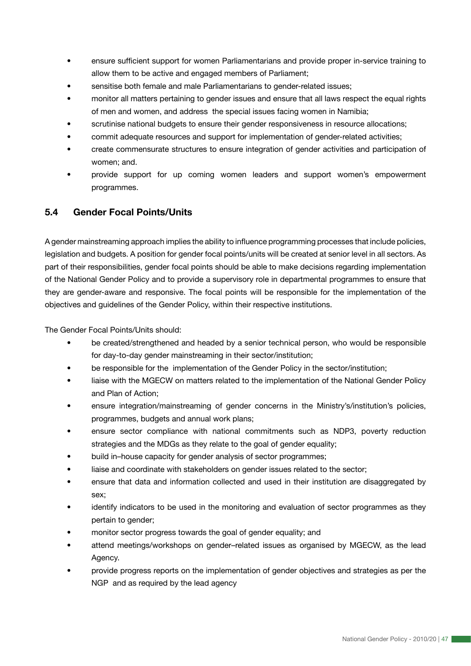- ensure sufficient support for women Parliamentarians and provide proper in-service training to allow them to be active and engaged members of Parliament;
- sensitise both female and male Parliamentarians to gender-related issues;
- monitor all matters pertaining to gender issues and ensure that all laws respect the equal rights of men and women, and address the special issues facing women in Namibia;
- scrutinise national budgets to ensure their gender responsiveness in resource allocations;
- commit adequate resources and support for implementation of gender-related activities;
- create commensurate structures to ensure integration of gender activities and participation of women; and.
- provide support for up coming women leaders and support women's empowerment programmes.

# **5.4 Gender Focal Points/Units**

A gender mainstreaming approach implies the ability to influence programming processes that include policies, legislation and budgets. A position for gender focal points/units will be created at senior level in all sectors. As part of their responsibilities, gender focal points should be able to make decisions regarding implementation of the National Gender Policy and to provide a supervisory role in departmental programmes to ensure that they are gender-aware and responsive. The focal points will be responsible for the implementation of the objectives and guidelines of the Gender Policy, within their respective institutions.

The Gender Focal Points/Units should:

- be created/strengthened and headed by a senior technical person, who would be responsible for day-to-day gender mainstreaming in their sector/institution;
- be responsible for the implementation of the Gender Policy in the sector/institution;
- liaise with the MGECW on matters related to the implementation of the National Gender Policy and Plan of Action;
- ensure integration/mainstreaming of gender concerns in the Ministry's/institution's policies, programmes, budgets and annual work plans;
- ensure sector compliance with national commitments such as NDP3, poverty reduction strategies and the MDGs as they relate to the goal of gender equality;
- build in–house capacity for gender analysis of sector programmes;
- liaise and coordinate with stakeholders on gender issues related to the sector;
- ensure that data and information collected and used in their institution are disaggregated by sex;
- identify indicators to be used in the monitoring and evaluation of sector programmes as they pertain to gender;
- monitor sector progress towards the goal of gender equality; and
- attend meetings/workshops on gender-related issues as organised by MGECW, as the lead Agency.
- provide progress reports on the implementation of gender objectives and strategies as per the NGP and as required by the lead agency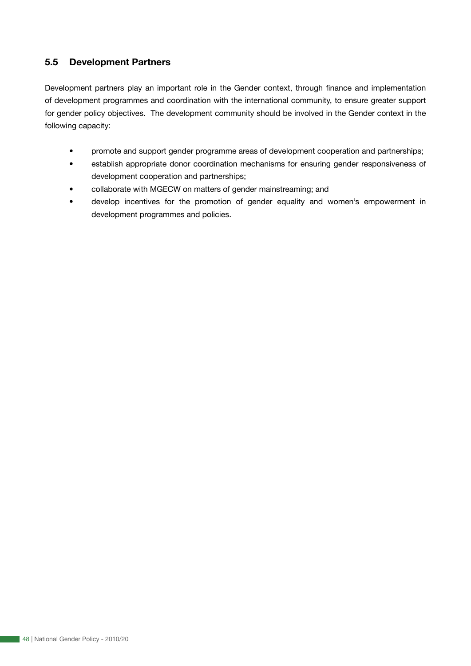# **5.5 Development Partners**

Development partners play an important role in the Gender context, through finance and implementation of development programmes and coordination with the international community, to ensure greater support for gender policy objectives. The development community should be involved in the Gender context in the following capacity:

- promote and support gender programme areas of development cooperation and partnerships;
- establish appropriate donor coordination mechanisms for ensuring gender responsiveness of development cooperation and partnerships;
- collaborate with MGECW on matters of gender mainstreaming; and
- develop incentives for the promotion of gender equality and women's empowerment in development programmes and policies.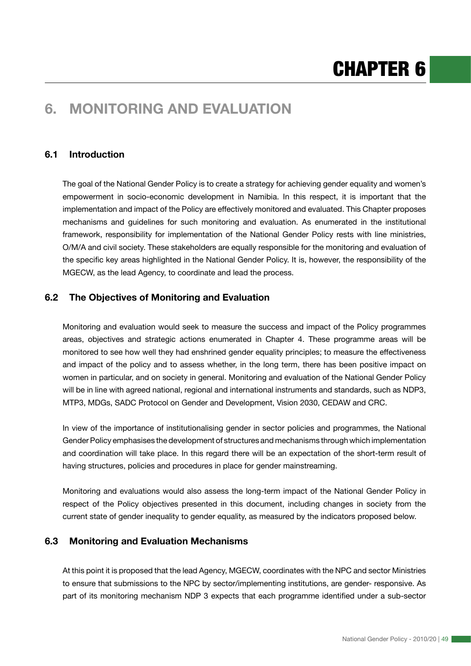# **6. MONITORING AND EVALUATION**

# **6.1 Introduction**

The goal of the National Gender Policy is to create a strategy for achieving gender equality and women's empowerment in socio-economic development in Namibia. In this respect, it is important that the implementation and impact of the Policy are effectively monitored and evaluated. This Chapter proposes mechanisms and guidelines for such monitoring and evaluation. As enumerated in the institutional framework, responsibility for implementation of the National Gender Policy rests with line ministries, O/M/A and civil society. These stakeholders are equally responsible for the monitoring and evaluation of the specific key areas highlighted in the National Gender Policy. It is, however, the responsibility of the MGECW, as the lead Agency, to coordinate and lead the process.

# **6.2 The Objectives of Monitoring and Evaluation**

Monitoring and evaluation would seek to measure the success and impact of the Policy programmes areas, objectives and strategic actions enumerated in Chapter 4. These programme areas will be monitored to see how well they had enshrined gender equality principles; to measure the effectiveness and impact of the policy and to assess whether, in the long term, there has been positive impact on women in particular, and on society in general. Monitoring and evaluation of the National Gender Policy will be in line with agreed national, regional and international instruments and standards, such as NDP3, MTP3, MDGs, SADC Protocol on Gender and Development, Vision 2030, CEDAW and CRC.

In view of the importance of institutionalising gender in sector policies and programmes, the National Gender Policy emphasises the development of structures and mechanisms through which implementation and coordination will take place. In this regard there will be an expectation of the short-term result of having structures, policies and procedures in place for gender mainstreaming.

Monitoring and evaluations would also assess the long-term impact of the National Gender Policy in respect of the Policy objectives presented in this document, including changes in society from the current state of gender inequality to gender equality, as measured by the indicators proposed below.

# **6.3 Monitoring and Evaluation Mechanisms**

At this point it is proposed that the lead Agency, MGECW, coordinates with the NPC and sector Ministries to ensure that submissions to the NPC by sector/implementing institutions, are gender- responsive. As part of its monitoring mechanism NDP 3 expects that each programme identified under a sub-sector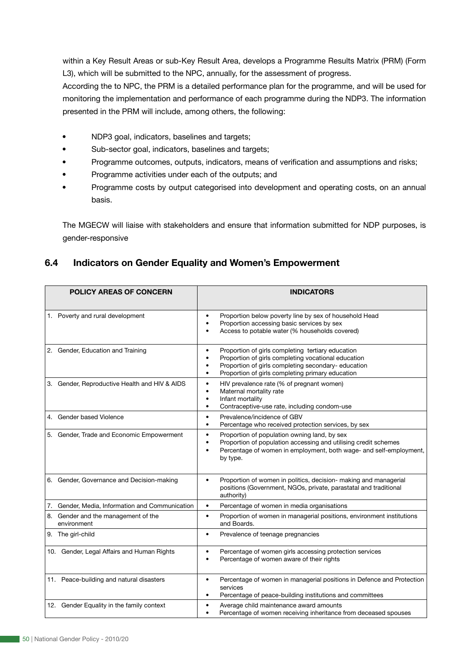within a Key Result Areas or sub-Key Result Area, develops a Programme Results Matrix (PRM) (Form L3), which will be submitted to the NPC, annually, for the assessment of progress.

According the to NPC, the PRM is a detailed performance plan for the programme, and will be used for monitoring the implementation and performance of each programme during the NDP3. The information presented in the PRM will include, among others, the following:

- NDP3 goal, indicators, baselines and targets;
- Sub-sector goal, indicators, baselines and targets;
- Programme outcomes, outputs, indicators, means of verification and assumptions and risks;
- Programme activities under each of the outputs; and
- Programme costs by output categorised into development and operating costs, on an annual basis.

The MGECW will liaise with stakeholders and ensure that information submitted for NDP purposes, is gender-responsive

# **6.4 Indicators on Gender Equality and Women's Empowerment**

| <b>POLICY AREAS OF CONCERN</b>                     | <b>INDICATORS</b>                                                                                                                                                                                                                                          |
|----------------------------------------------------|------------------------------------------------------------------------------------------------------------------------------------------------------------------------------------------------------------------------------------------------------------|
| 1. Poverty and rural development                   | Proportion below poverty line by sex of household Head<br>Proportion accessing basic services by sex<br>Access to potable water (% households covered)                                                                                                     |
| 2. Gender, Education and Training                  | Proportion of girls completing tertiary education<br>Proportion of girls completing vocational education<br>$\bullet$<br>Proportion of girls completing secondary- education<br>$\bullet$<br>Proportion of girls completing primary education<br>$\bullet$ |
| 3. Gender, Reproductive Health and HIV & AIDS      | HIV prevalence rate (% of pregnant women)<br>$\bullet$<br>Maternal mortality rate<br>Infant mortality<br>$\bullet$<br>Contraceptive-use rate, including condom-use<br>٠                                                                                    |
| 4. Gender based Violence                           | Prevalence/incidence of GBV<br>$\bullet$<br>Percentage who received protection services, by sex<br>$\bullet$                                                                                                                                               |
| 5. Gender, Trade and Economic Empowerment          | Proportion of population owning land, by sex<br>$\bullet$<br>Proportion of population accessing and utilising credit schemes<br>Percentage of women in employment, both wage- and self-employment,<br>by type.                                             |
| 6. Gender, Governance and Decision-making          | Proportion of women in politics, decision- making and managerial<br>$\bullet$<br>positions (Government, NGOs, private, parastatal and traditional<br>authority)                                                                                            |
| 7. Gender, Media, Information and Communication    | Percentage of women in media organisations<br>$\bullet$                                                                                                                                                                                                    |
| 8. Gender and the management of the<br>environment | Proportion of women in managerial positions, environment institutions<br>$\bullet$<br>and Boards.                                                                                                                                                          |
| 9. The girl-child                                  | Prevalence of teenage pregnancies<br>$\bullet$                                                                                                                                                                                                             |
| 10. Gender, Legal Affairs and Human Rights         | Percentage of women girls accessing protection services<br>Percentage of women aware of their rights                                                                                                                                                       |
| 11. Peace-building and natural disasters           | Percentage of women in managerial positions in Defence and Protection<br>services<br>Percentage of peace-building institutions and committees<br>$\bullet$                                                                                                 |
| 12. Gender Equality in the family context          | Average child maintenance award amounts<br>Percentage of women receiving inheritance from deceased spouses                                                                                                                                                 |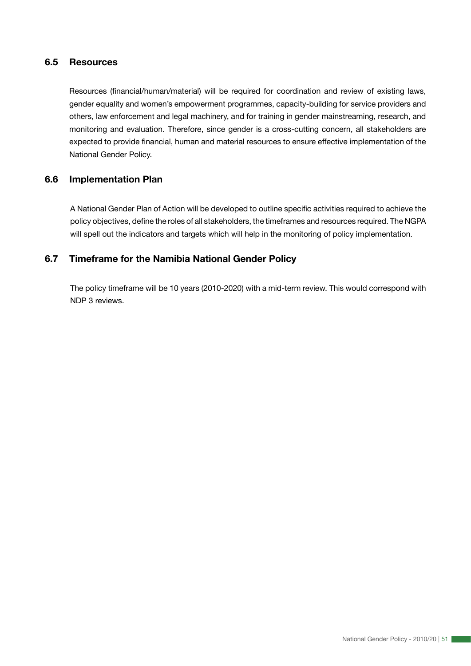## **6.5 Resources**

Resources (financial/human/material) will be required for coordination and review of existing laws, gender equality and women's empowerment programmes, capacity-building for service providers and others, law enforcement and legal machinery, and for training in gender mainstreaming, research, and monitoring and evaluation. Therefore, since gender is a cross-cutting concern, all stakeholders are expected to provide financial, human and material resources to ensure effective implementation of the National Gender Policy.

# **6.6 Implementation Plan**

A National Gender Plan of Action will be developed to outline specific activities required to achieve the policy objectives, define the roles of all stakeholders, the timeframes and resources required. The NGPA will spell out the indicators and targets which will help in the monitoring of policy implementation.

# **6.7 Timeframe for the Namibia National Gender Policy**

The policy timeframe will be 10 years (2010-2020) with a mid-term review. This would correspond with NDP 3 reviews.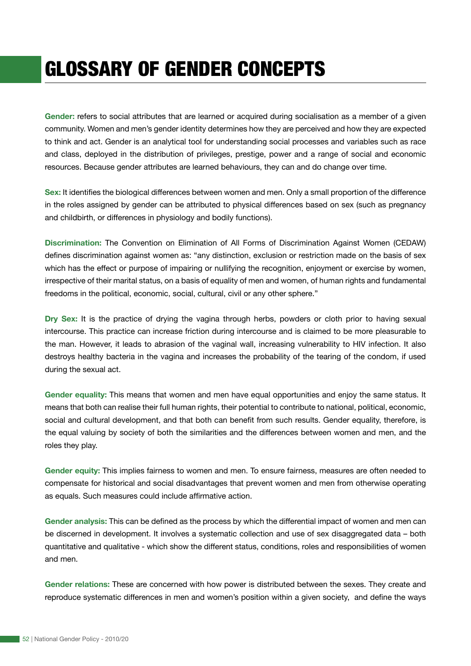# GLOSSARY OF GENDER CONCEPTS

**Gender:** refers to social attributes that are learned or acquired during socialisation as a member of a given community. Women and men's gender identity determines how they are perceived and how they are expected to think and act. Gender is an analytical tool for understanding social processes and variables such as race and class, deployed in the distribution of privileges, prestige, power and a range of social and economic resources. Because gender attributes are learned behaviours, they can and do change over time.

**Sex:** It identifies the biological differences between women and men. Only a small proportion of the difference in the roles assigned by gender can be attributed to physical differences based on sex (such as pregnancy and childbirth, or differences in physiology and bodily functions).

**Discrimination:** The Convention on Elimination of All Forms of Discrimination Against Women (CEDAW) defines discrimination against women as: "any distinction, exclusion or restriction made on the basis of sex which has the effect or purpose of impairing or nullifying the recognition, enjoyment or exercise by women, irrespective of their marital status, on a basis of equality of men and women, of human rights and fundamental freedoms in the political, economic, social, cultural, civil or any other sphere."

**Dry Sex:** It is the practice of drying the vagina through herbs, powders or cloth prior to having sexual intercourse. This practice can increase friction during intercourse and is claimed to be more pleasurable to the man. However, it leads to abrasion of the vaginal wall, increasing vulnerability to HIV infection. It also destroys healthy bacteria in the vagina and increases the probability of the tearing of the condom, if used during the sexual act.

**Gender equality:** This means that women and men have equal opportunities and enjoy the same status. It means that both can realise their full human rights, their potential to contribute to national, political, economic, social and cultural development, and that both can benefit from such results. Gender equality, therefore, is the equal valuing by society of both the similarities and the differences between women and men, and the roles they play.

**Gender equity:** This implies fairness to women and men. To ensure fairness, measures are often needed to compensate for historical and social disadvantages that prevent women and men from otherwise operating as equals. Such measures could include affirmative action.

**Gender analysis:** This can be defined as the process by which the differential impact of women and men can be discerned in development. It involves a systematic collection and use of sex disaggregated data – both quantitative and qualitative - which show the different status, conditions, roles and responsibilities of women and men.

**Gender relations:** These are concerned with how power is distributed between the sexes. They create and reproduce systematic differences in men and women's position within a given society, and define the ways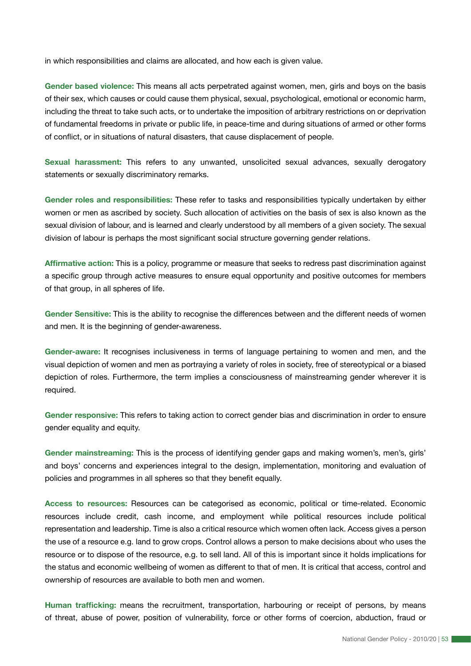in which responsibilities and claims are allocated, and how each is given value.

**Gender based violence:** This means all acts perpetrated against women, men, girls and boys on the basis of their sex, which causes or could cause them physical, sexual, psychological, emotional or economic harm, including the threat to take such acts, or to undertake the imposition of arbitrary restrictions on or deprivation of fundamental freedoms in private or public life, in peace-time and during situations of armed or other forms of conflict, or in situations of natural disasters, that cause displacement of people.

**Sexual harassment:** This refers to any unwanted, unsolicited sexual advances, sexually derogatory statements or sexually discriminatory remarks.

**Gender roles and responsibilities:** These refer to tasks and responsibilities typically undertaken by either women or men as ascribed by society. Such allocation of activities on the basis of sex is also known as the sexual division of labour, and is learned and clearly understood by all members of a given society. The sexual division of labour is perhaps the most significant social structure governing gender relations.

**Affirmative action:** This is a policy, programme or measure that seeks to redress past discrimination against a specific group through active measures to ensure equal opportunity and positive outcomes for members of that group, in all spheres of life.

**Gender Sensitive:** This is the ability to recognise the differences between and the different needs of women and men. It is the beginning of gender-awareness.

**Gender-aware:** It recognises inclusiveness in terms of language pertaining to women and men, and the visual depiction of women and men as portraying a variety of roles in society, free of stereotypical or a biased depiction of roles. Furthermore, the term implies a consciousness of mainstreaming gender wherever it is required.

**Gender responsive:** This refers to taking action to correct gender bias and discrimination in order to ensure gender equality and equity.

**Gender mainstreaming:** This is the process of identifying gender gaps and making women's, men's, girls' and boys' concerns and experiences integral to the design, implementation, monitoring and evaluation of policies and programmes in all spheres so that they benefit equally.

**Access to resources:** Resources can be categorised as economic, political or time-related. Economic resources include credit, cash income, and employment while political resources include political representation and leadership. Time is also a critical resource which women often lack. Access gives a person the use of a resource e.g. land to grow crops. Control allows a person to make decisions about who uses the resource or to dispose of the resource, e.g. to sell land. All of this is important since it holds implications for the status and economic wellbeing of women as different to that of men. It is critical that access, control and ownership of resources are available to both men and women.

**Human trafficking:** means the recruitment, transportation, harbouring or receipt of persons, by means of threat, abuse of power, position of vulnerability, force or other forms of coercion, abduction, fraud or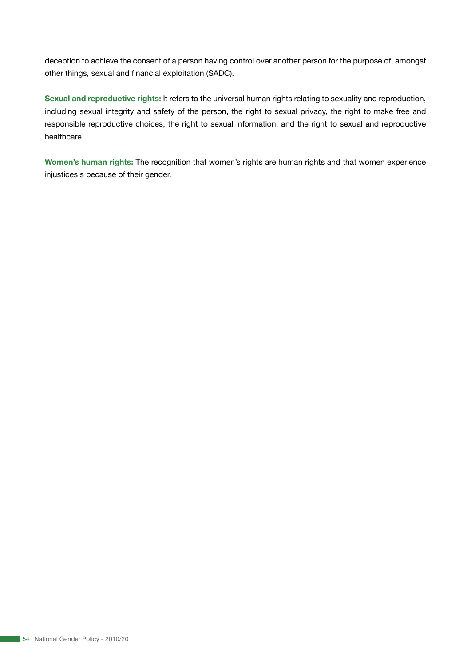deception to achieve the consent of a person having control over another person for the purpose of, amongst other things, sexual and financial exploitation (SADC).

**Sexual and reproductive rights:** It refers to the universal human rights relating to sexuality and reproduction, including sexual integrity and safety of the person, the right to sexual privacy, the right to make free and responsible reproductive choices, the right to sexual information, and the right to sexual and reproductive healthcare.

**Women's human rights:** The recognition that women's rights are human rights and that women experience injustices s because of their gender.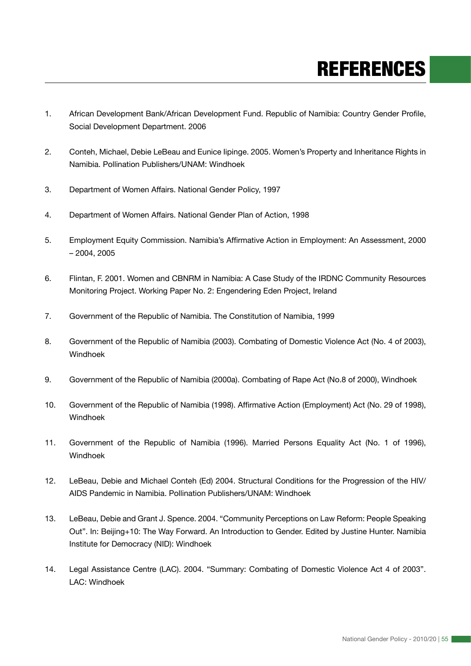# REFERENCES

- 1. African Development Bank/African Development Fund. Republic of Namibia: Country Gender Profile, Social Development Department. 2006
- 2. Conteh, Michael, Debie LeBeau and Eunice Iipinge. 2005. Women's Property and Inheritance Rights in Namibia. Pollination Publishers/UNAM: Windhoek
- 3. Department of Women Affairs. National Gender Policy, 1997
- 4. Department of Women Affairs. National Gender Plan of Action, 1998
- 5. Employment Equity Commission. Namibia's Affirmative Action in Employment: An Assessment, 2000 – 2004, 2005
- 6. Flintan, F. 2001. Women and CBNRM in Namibia: A Case Study of the IRDNC Community Resources Monitoring Project. Working Paper No. 2: Engendering Eden Project, Ireland
- 7. Government of the Republic of Namibia. The Constitution of Namibia, 1999
- 8. Government of the Republic of Namibia (2003). Combating of Domestic Violence Act (No. 4 of 2003), Windhoek
- 9. Government of the Republic of Namibia (2000a). Combating of Rape Act (No.8 of 2000), Windhoek
- 10. Government of the Republic of Namibia (1998). Affirmative Action (Employment) Act (No. 29 of 1998), Windhoek
- 11. Government of the Republic of Namibia (1996). Married Persons Equality Act (No. 1 of 1996), Windhoek
- 12. LeBeau, Debie and Michael Conteh (Ed) 2004. Structural Conditions for the Progression of the HIV/ AIDS Pandemic in Namibia. Pollination Publishers/UNAM: Windhoek
- 13. LeBeau, Debie and Grant J. Spence. 2004. "Community Perceptions on Law Reform: People Speaking Out". In: Beijing+10: The Way Forward. An Introduction to Gender. Edited by Justine Hunter. Namibia Institute for Democracy (NID): Windhoek
- 14. Legal Assistance Centre (LAC). 2004. "Summary: Combating of Domestic Violence Act 4 of 2003". LAC: Windhoek